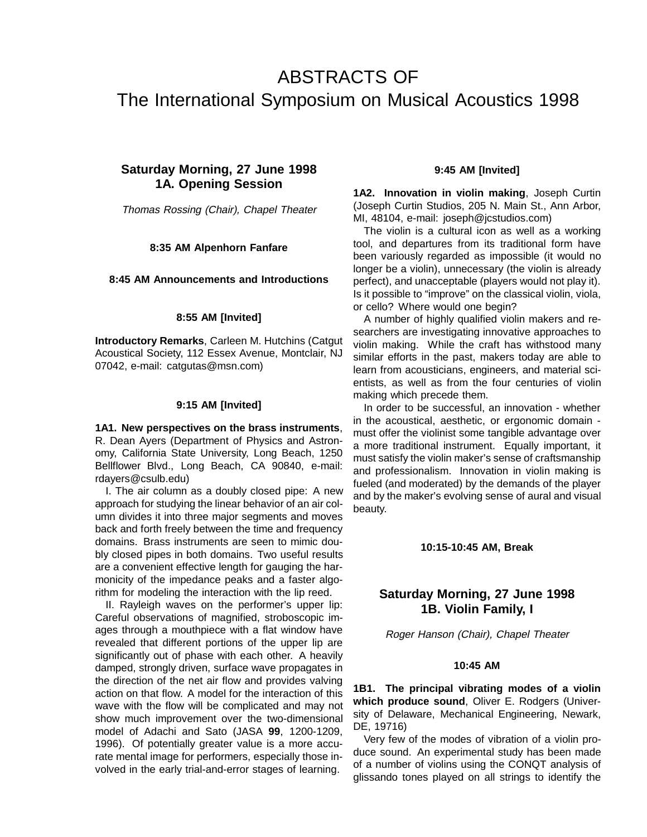# ABSTRACTS OF The International Symposium on Musical Acoustics 1998

# **Saturday Morning, 27 June 1998 1A. Opening Session**

Thomas Rossing (Chair), Chapel Theater

#### **8:35 AM Alpenhorn Fanfare**

#### **8:45 AM Announcements and Introductions**

#### **8:55 AM [Invited]**

**Introductory Remarks**, Carleen M. Hutchins (Catgut Acoustical Society, 112 Essex Avenue, Montclair, NJ 07042, e-mail: catgutas@msn.com)

#### **9:15 AM [Invited]**

**1A1. New perspectives on the brass instruments**, R. Dean Ayers (Department of Physics and Astronomy, California State University, Long Beach, 1250 Bellflower Blvd., Long Beach, CA 90840, e-mail: rdayers@csulb.edu)

I. The air column as a doubly closed pipe: A new approach for studying the linear behavior of an air column divides it into three major segments and moves back and forth freely between the time and frequency domains. Brass instruments are seen to mimic doubly closed pipes in both domains. Two useful results are a convenient effective length for gauging the harmonicity of the impedance peaks and a faster algorithm for modeling the interaction with the lip reed.

II. Rayleigh waves on the performer's upper lip: Careful observations of magnified, stroboscopic images through a mouthpiece with a flat window have revealed that different portions of the upper lip are significantly out of phase with each other. A heavily damped, strongly driven, surface wave propagates in the direction of the net air flow and provides valving action on that flow. A model for the interaction of this wave with the flow will be complicated and may not show much improvement over the two-dimensional model of Adachi and Sato (JASA **99**, 1200-1209, 1996). Of potentially greater value is a more accurate mental image for performers, especially those involved in the early trial-and-error stages of learning.

#### **9:45 AM [Invited]**

**1A2. Innovation in violin making**, Joseph Curtin (Joseph Curtin Studios, 205 N. Main St., Ann Arbor, MI, 48104, e-mail: joseph@jcstudios.com)

The violin is a cultural icon as well as a working tool, and departures from its traditional form have been variously regarded as impossible (it would no longer be a violin), unnecessary (the violin is already perfect), and unacceptable (players would not play it). Is it possible to "improve" on the classical violin, viola, or cello? Where would one begin?

A number of highly qualified violin makers and researchers are investigating innovative approaches to violin making. While the craft has withstood many similar efforts in the past, makers today are able to learn from acousticians, engineers, and material scientists, as well as from the four centuries of violin making which precede them.

In order to be successful, an innovation - whether in the acoustical, aesthetic, or ergonomic domain must offer the violinist some tangible advantage over a more traditional instrument. Equally important, it must satisfy the violin maker's sense of craftsmanship and professionalism. Innovation in violin making is fueled (and moderated) by the demands of the player and by the maker's evolving sense of aural and visual beauty.

#### **10:15-10:45 AM, Break**

# **Saturday Morning, 27 June 1998 1B. Violin Family, I**

Roger Hanson (Chair), Chapel Theater

#### **10:45 AM**

**1B1. The principal vibrating modes of a violin which produce sound**, Oliver E. Rodgers (University of Delaware, Mechanical Engineering, Newark, DE, 19716)

Very few of the modes of vibration of a violin produce sound. An experimental study has been made of a number of violins using the CONQT analysis of glissando tones played on all strings to identify the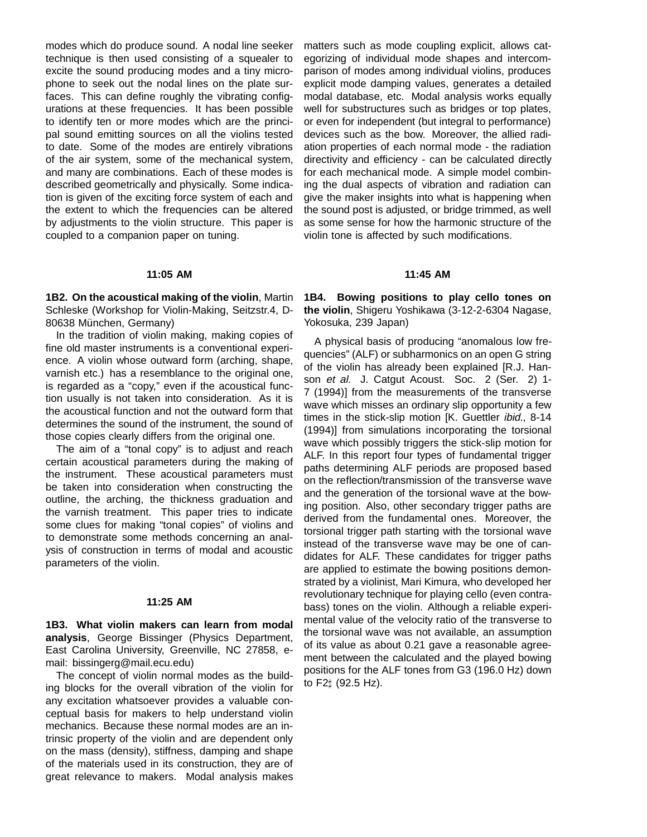modes which do produce sound. A nodal line seeker technique is then used consisting of a squealer to excite the sound producing modes and a tiny microphone to seek out the nodal lines on the plate surfaces. This can define roughly the vibrating configurations at these frequencies. It has been possible to identify ten or more modes which are the principal sound emitting sources on all the violins tested to date. Some of the modes are entirely vibrations of the air system, some of the mechanical system, and many are combinations. Each of these modes is described geometrically and physically. Some indication is given of the exciting force system of each and the extent to which the frequencies can be altered by adjustments to the violin structure. This paper is coupled to a companion paper on tuning.

#### **11:05 AM**

**1B2. On the acoustical making of the violin**, Martin Schleske (Workshop for Violin-Making, Seitzstr.4, D-80638 München, Germany)

In the tradition of violin making, making copies of fine old master instruments is a conventional experience. A violin whose outward form (arching, shape, varnish etc.) has a resemblance to the original one, is regarded as a "copy," even if the acoustical function usually is not taken into consideration. As it is the acoustical function and not the outward form that determines the sound of the instrument, the sound of those copies clearly differs from the original one.

The aim of a "tonal copy" is to adjust and reach certain acoustical parameters during the making of the instrument. These acoustical parameters must be taken into consideration when constructing the outline, the arching, the thickness graduation and the varnish treatment. This paper tries to indicate some clues for making "tonal copies" of violins and to demonstrate some methods concerning an analysis of construction in terms of modal and acoustic parameters of the violin.

#### **11:25 AM**

**1B3. What violin makers can learn from modal analysis**, George Bissinger (Physics Department, East Carolina University, Greenville, NC 27858, email: bissingerg@mail.ecu.edu)

The concept of violin normal modes as the building blocks for the overall vibration of the violin for any excitation whatsoever provides a valuable conceptual basis for makers to help understand violin mechanics. Because these normal modes are an intrinsic property of the violin and are dependent only on the mass (density), stiffness, damping and shape of the materials used in its construction, they are of great relevance to makers. Modal analysis makes

matters such as mode coupling explicit, allows categorizing of individual mode shapes and intercomparison of modes among individual violins, produces explicit mode damping values, generates a detailed modal database, etc. Modal analysis works equally well for substructures such as bridges or top plates, or even for independent (but integral to performance) devices such as the bow. Moreover, the allied radiation properties of each normal mode - the radiation directivity and efficiency - can be calculated directly for each mechanical mode. A simple model combining the dual aspects of vibration and radiation can give the maker insights into what is happening when the sound post is adjusted, or bridge trimmed, as well as some sense for how the harmonic structure of the violin tone is affected by such modifications.

#### **11:45 AM**

**1B4. Bowing positions to play cello tones on the violin**, Shigeru Yoshikawa (3-12-2-6304 Nagase, Yokosuka, 239 Japan)

A physical basis of producing "anomalous low frequencies" (ALF) or subharmonics on an open G string of the violin has already been explained [R.J. Hanson et al. J. Catgut Acoust. Soc. 2 (Ser. 2) 1-7 (1994)] from the measurements of the transverse wave which misses an ordinary slip opportunity a few times in the stick-slip motion [K. Guettler *ibid.*, 8-14 (1994)] from simulations incorporating the torsional wave which possibly triggers the stick-slip motion for ALF. In this report four types of fundamental trigger paths determining ALF periods are proposed based on the reflection/transmission of the transverse wave and the generation of the torsional wave at the bowing position. Also, other secondary trigger paths are derived from the fundamental ones. Moreover, the torsional trigger path starting with the torsional wave instead of the transverse wave may be one of candidates for ALF. These candidates for trigger paths are applied to estimate the bowing positions demonstrated by a violinist, Mari Kimura, who developed her revolutionary technique for playing cello (even contrabass) tones on the violin. Although a reliable experimental value of the velocity ratio of the transverse to the torsional wave was not available, an assumption of its value as about 0.21 gave a reasonable agreement between the calculated and the played bowing positions for the ALF tones from G3 (196.0 Hz) down to  $F2 \sharp (92.5 \text{ Hz}).$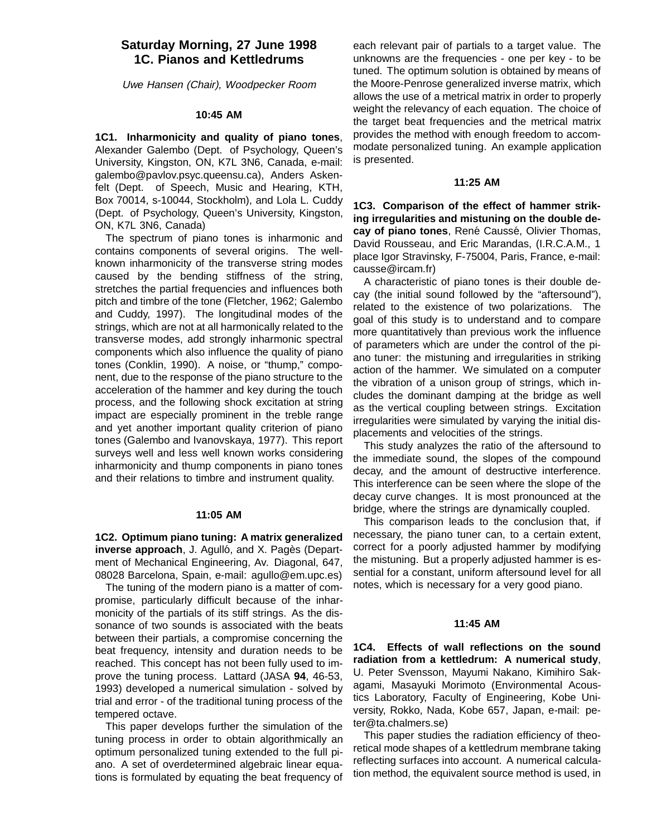# **Saturday Morning, 27 June 1998 1C. Pianos and Kettledrums**

Uwe Hansen (Chair), Woodpecker Room

#### **10:45 AM**

**1C1. Inharmonicity and quality of piano tones**, Alexander Galembo (Dept. of Psychology, Queen's University, Kingston, ON, K7L 3N6, Canada, e-mail: galembo@pavlov.psyc.queensu.ca), Anders Askenfelt (Dept. of Speech, Music and Hearing, KTH, Box 70014, s-10044, Stockholm), and Lola L. Cuddy (Dept. of Psychology, Queen's University, Kingston, ON, K7L 3N6, Canada)

The spectrum of piano tones is inharmonic and contains components of several origins. The wellknown inharmonicity of the transverse string modes caused by the bending stiffness of the string, stretches the partial frequencies and influences both pitch and timbre of the tone (Fletcher, 1962; Galembo and Cuddy, 1997). The longitudinal modes of the strings, which are not at all harmonically related to the transverse modes, add strongly inharmonic spectral components which also influence the quality of piano tones (Conklin, 1990). A noise, or "thump," component, due to the response of the piano structure to the acceleration of the hammer and key during the touch process, and the following shock excitation at string impact are especially prominent in the treble range and yet another important quality criterion of piano tones (Galembo and Ivanovskaya, 1977). This report surveys well and less well known works considering inharmonicity and thump components in piano tones and their relations to timbre and instrument quality.

#### **11:05 AM**

**1C2. Optimum piano tuning: A matrix generalized inverse approach, J. Agulló, and X. Pagès (Depart**ment of Mechanical Engineering, Av. Diagonal, 647, 08028 Barcelona, Spain, e-mail: agullo@em.upc.es)

The tuning of the modern piano is a matter of compromise, particularly difficult because of the inharmonicity of the partials of its stiff strings. As the dissonance of two sounds is associated with the beats between their partials, a compromise concerning the beat frequency, intensity and duration needs to be reached. This concept has not been fully used to improve the tuning process. Lattard (JASA **94**, 46-53, 1993) developed a numerical simulation - solved by trial and error - of the traditional tuning process of the tempered octave.

This paper develops further the simulation of the tuning process in order to obtain algorithmically an optimum personalized tuning extended to the full piano. A set of overdetermined algebraic linear equations is formulated by equating the beat frequency of

each relevant pair of partials to a target value. The unknowns are the frequencies - one per key - to be tuned. The optimum solution is obtained by means of the Moore-Penrose generalized inverse matrix, which allows the use of a metrical matrix in order to properly weight the relevancy of each equation. The choice of the target beat frequencies and the metrical matrix provides the method with enough freedom to accommodate personalized tuning. An example application is presented.

#### **11:25 AM**

**1C3. Comparison of the effect of hammer striking irregularities and mistuning on the double de**cay of piano tones, René Caussé, Olivier Thomas, David Rousseau, and Eric Marandas, (I.R.C.A.M., 1 place Igor Stravinsky, F-75004, Paris, France, e-mail: causse@ircam.fr)

A characteristic of piano tones is their double decay (the initial sound followed by the "aftersound"), related to the existence of two polarizations. The goal of this study is to understand and to compare more quantitatively than previous work the influence of parameters which are under the control of the piano tuner: the mistuning and irregularities in striking action of the hammer. We simulated on a computer the vibration of a unison group of strings, which includes the dominant damping at the bridge as well as the vertical coupling between strings. Excitation irregularities were simulated by varying the initial displacements and velocities of the strings.

This study analyzes the ratio of the aftersound to the immediate sound, the slopes of the compound decay, and the amount of destructive interference. This interference can be seen where the slope of the decay curve changes. It is most pronounced at the bridge, where the strings are dynamically coupled.

This comparison leads to the conclusion that, if necessary, the piano tuner can, to a certain extent, correct for a poorly adjusted hammer by modifying the mistuning. But a properly adjusted hammer is essential for a constant, uniform aftersound level for all notes, which is necessary for a very good piano.

#### **11:45 AM**

**1C4. Effects of wall reflections on the sound radiation from a kettledrum: A numerical study**, U. Peter Svensson, Mayumi Nakano, Kimihiro Sakagami, Masayuki Morimoto (Environmental Acoustics Laboratory, Faculty of Engineering, Kobe University, Rokko, Nada, Kobe 657, Japan, e-mail: peter@ta.chalmers.se)

This paper studies the radiation efficiency of theoretical mode shapes of a kettledrum membrane taking reflecting surfaces into account. A numerical calculation method, the equivalent source method is used, in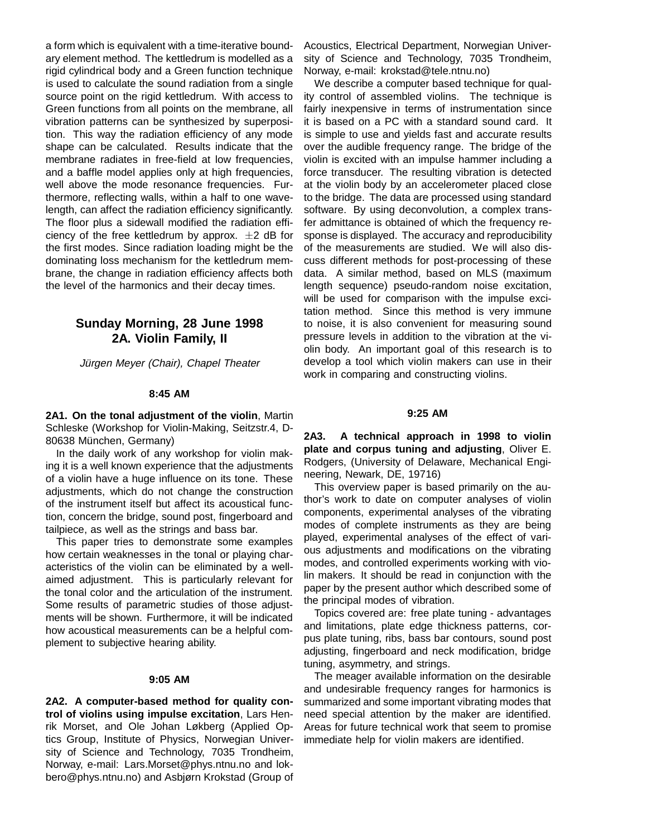a form which is equivalent with a time-iterative boundary element method. The kettledrum is modelled as a rigid cylindrical body and a Green function technique is used to calculate the sound radiation from a single source point on the rigid kettledrum. With access to Green functions from all points on the membrane, all vibration patterns can be synthesized by superposition. This way the radiation efficiency of any mode shape can be calculated. Results indicate that the membrane radiates in free-field at low frequencies, and a baffle model applies only at high frequencies, well above the mode resonance frequencies. Furthermore, reflecting walls, within a half to one wavelength, can affect the radiation efficiency significantly. The floor plus a sidewall modified the radiation efficiency of the free kettledrum by approx.  $\pm 2$  dB for the first modes. Since radiation loading might be the dominating loss mechanism for the kettledrum membrane, the change in radiation efficiency affects both the level of the harmonics and their decay times.

# **Sunday Morning, 28 June 1998 2A. Violin Family, II**

Jürgen Meyer (Chair), Chapel Theater

#### **8:45 AM**

**2A1. On the tonal adjustment of the violin**, Martin Schleske (Workshop for Violin-Making, Seitzstr.4, D-80638 München, Germany)

In the daily work of any workshop for violin making it is a well known experience that the adjustments of a violin have a huge influence on its tone. These adjustments, which do not change the construction of the instrument itself but affect its acoustical function, concern the bridge, sound post, fingerboard and tailpiece, as well as the strings and bass bar.

This paper tries to demonstrate some examples how certain weaknesses in the tonal or playing characteristics of the violin can be eliminated by a wellaimed adjustment. This is particularly relevant for the tonal color and the articulation of the instrument. Some results of parametric studies of those adjustments will be shown. Furthermore, it will be indicated how acoustical measurements can be a helpful complement to subjective hearing ability.

#### **9:05 AM**

**2A2. A computer-based method for quality control of violins using impulse excitation**, Lars Henrik Morset, and Ole Johan Løkberg (Applied Optics Group, Institute of Physics, Norwegian University of Science and Technology, 7035 Trondheim, Norway, e-mail: Lars.Morset@phys.ntnu.no and lokbero@phys.ntnu.no) and Asbjørn Krokstad (Group of Acoustics, Electrical Department, Norwegian University of Science and Technology, 7035 Trondheim, Norway, e-mail: krokstad@tele.ntnu.no)

We describe a computer based technique for quality control of assembled violins. The technique is fairly inexpensive in terms of instrumentation since it is based on a PC with a standard sound card. It is simple to use and yields fast and accurate results over the audible frequency range. The bridge of the violin is excited with an impulse hammer including a force transducer. The resulting vibration is detected at the violin body by an accelerometer placed close to the bridge. The data are processed using standard software. By using deconvolution, a complex transfer admittance is obtained of which the frequency response is displayed. The accuracy and reproducibility of the measurements are studied. We will also discuss different methods for post-processing of these data. A similar method, based on MLS (maximum length sequence) pseudo-random noise excitation, will be used for comparison with the impulse excitation method. Since this method is very immune to noise, it is also convenient for measuring sound pressure levels in addition to the vibration at the violin body. An important goal of this research is to develop a tool which violin makers can use in their work in comparing and constructing violins.

#### **9:25 AM**

**2A3. A technical approach in 1998 to violin plate and corpus tuning and adjusting**, Oliver E. Rodgers, (University of Delaware, Mechanical Engineering, Newark, DE, 19716)

This overview paper is based primarily on the author's work to date on computer analyses of violin components, experimental analyses of the vibrating modes of complete instruments as they are being played, experimental analyses of the effect of various adjustments and modifications on the vibrating modes, and controlled experiments working with violin makers. It should be read in conjunction with the paper by the present author which described some of the principal modes of vibration.

Topics covered are: free plate tuning - advantages and limitations, plate edge thickness patterns, corpus plate tuning, ribs, bass bar contours, sound post adjusting, fingerboard and neck modification, bridge tuning, asymmetry, and strings.

The meager available information on the desirable and undesirable frequency ranges for harmonics is summarized and some important vibrating modes that need special attention by the maker are identified. Areas for future technical work that seem to promise immediate help for violin makers are identified.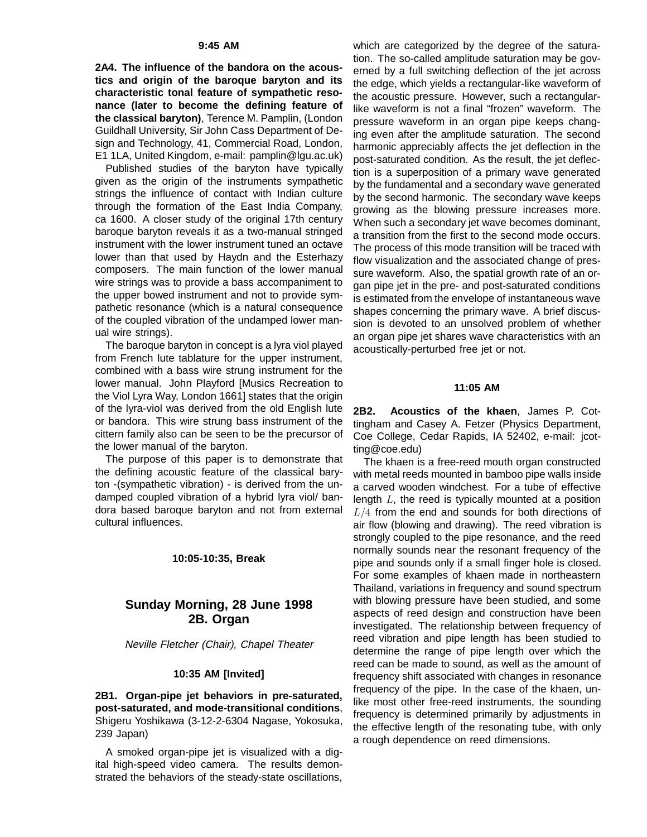#### **9:45 AM**

**2A4. The influence of the bandora on the acoustics and origin of the baroque baryton and its characteristic tonal feature of sympathetic resonance (later to become the defining feature of the classical baryton)**, Terence M. Pamplin, (London Guildhall University, Sir John Cass Department of Design and Technology, 41, Commercial Road, London, E1 1LA, United Kingdom, e-mail: pamplin@lgu.ac.uk)

Published studies of the baryton have typically given as the origin of the instruments sympathetic strings the influence of contact with Indian culture through the formation of the East India Company, ca 1600. A closer study of the original 17th century baroque baryton reveals it as a two-manual stringed instrument with the lower instrument tuned an octave lower than that used by Haydn and the Esterhazy composers. The main function of the lower manual wire strings was to provide a bass accompaniment to the upper bowed instrument and not to provide sympathetic resonance (which is a natural consequence of the coupled vibration of the undamped lower manual wire strings).

The baroque baryton in concept is a lyra viol played from French lute tablature for the upper instrument, combined with a bass wire strung instrument for the lower manual. John Playford [Musics Recreation to the Viol Lyra Way, London 1661] states that the origin of the lyra-viol was derived from the old English lute or bandora. This wire strung bass instrument of the cittern family also can be seen to be the precursor of the lower manual of the baryton.

The purpose of this paper is to demonstrate that the defining acoustic feature of the classical baryton -(sympathetic vibration) - is derived from the undamped coupled vibration of a hybrid lyra viol/ bandora based baroque baryton and not from external cultural influences.

#### **10:05-10:35, Break**

# **Sunday Morning, 28 June 1998 2B. Organ**

Neville Fletcher (Chair), Chapel Theater

#### **10:35 AM [Invited]**

**2B1. Organ-pipe jet behaviors in pre-saturated, post-saturated, and mode-transitional conditions**, Shigeru Yoshikawa (3-12-2-6304 Nagase, Yokosuka, 239 Japan)

A smoked organ-pipe jet is visualized with a digital high-speed video camera. The results demonstrated the behaviors of the steady-state oscillations,

which are categorized by the degree of the saturation. The so-called amplitude saturation may be governed by a full switching deflection of the jet across the edge, which yields a rectangular-like waveform of the acoustic pressure. However, such a rectangularlike waveform is not a final "frozen" waveform. The pressure waveform in an organ pipe keeps changing even after the amplitude saturation. The second harmonic appreciably affects the jet deflection in the post-saturated condition. As the result, the jet deflection is a superposition of a primary wave generated by the fundamental and a secondary wave generated by the second harmonic. The secondary wave keeps growing as the blowing pressure increases more. When such a secondary jet wave becomes dominant, a transition from the first to the second mode occurs. The process of this mode transition will be traced with flow visualization and the associated change of pressure waveform. Also, the spatial growth rate of an organ pipe jet in the pre- and post-saturated conditions is estimated from the envelope of instantaneous wave shapes concerning the primary wave. A brief discussion is devoted to an unsolved problem of whether an organ pipe jet shares wave characteristics with an acoustically-perturbed free jet or not.

#### **11:05 AM**

**2B2. Acoustics of the khaen**, James P. Cottingham and Casey A. Fetzer (Physics Department, Coe College, Cedar Rapids, IA 52402, e-mail: jcotting@coe.edu)

The khaen is a free-reed mouth organ constructed with metal reeds mounted in bamboo pipe walls inside a carved wooden windchest. For a tube of effective length  $L$ , the reed is typically mounted at a position  $L/4$  from the end and sounds for both directions of air flow (blowing and drawing). The reed vibration is strongly coupled to the pipe resonance, and the reed normally sounds near the resonant frequency of the pipe and sounds only if a small finger hole is closed. For some examples of khaen made in northeastern Thailand, variations in frequency and sound spectrum with blowing pressure have been studied, and some aspects of reed design and construction have been investigated. The relationship between frequency of reed vibration and pipe length has been studied to determine the range of pipe length over which the reed can be made to sound, as well as the amount of frequency shift associated with changes in resonance frequency of the pipe. In the case of the khaen, unlike most other free-reed instruments, the sounding frequency is determined primarily by adjustments in the effective length of the resonating tube, with only a rough dependence on reed dimensions.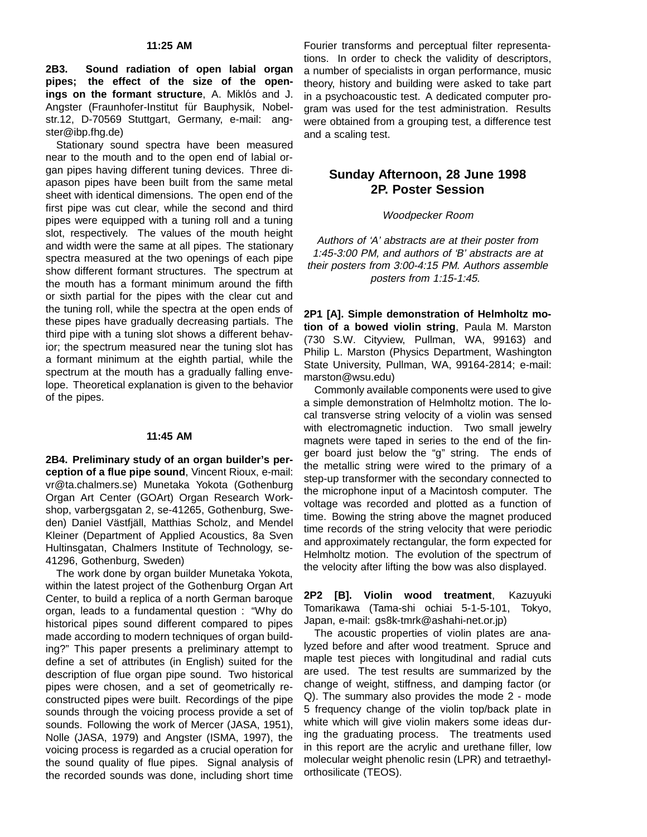**2B3. Sound radiation of open labial organ pipes; the effect of the size of the open**ings on the formant structure, A. Miklós and J. Angster (Fraunhofer-Institut für Bauphysik, Nobelstr.12, D-70569 Stuttgart, Germany, e-mail: angster@ibp.fhg.de)

Stationary sound spectra have been measured near to the mouth and to the open end of labial organ pipes having different tuning devices. Three diapason pipes have been built from the same metal sheet with identical dimensions. The open end of the first pipe was cut clear, while the second and third pipes were equipped with a tuning roll and a tuning slot, respectively. The values of the mouth height and width were the same at all pipes. The stationary spectra measured at the two openings of each pipe show different formant structures. The spectrum at the mouth has a formant minimum around the fifth or sixth partial for the pipes with the clear cut and the tuning roll, while the spectra at the open ends of these pipes have gradually decreasing partials. The third pipe with a tuning slot shows a different behavior; the spectrum measured near the tuning slot has a formant minimum at the eighth partial, while the spectrum at the mouth has a gradually falling envelope. Theoretical explanation is given to the behavior of the pipes.

#### **11:45 AM**

**2B4. Preliminary study of an organ builder's perception of a flue pipe sound**, Vincent Rioux, e-mail: vr@ta.chalmers.se) Munetaka Yokota (Gothenburg Organ Art Center (GOArt) Organ Research Workshop, varbergsgatan 2, se-41265, Gothenburg, Sweden) Daniel Västfjäll, Matthias Scholz, and Mendel Kleiner (Department of Applied Acoustics, 8a Sven Hultinsgatan, Chalmers Institute of Technology, se-41296, Gothenburg, Sweden)

The work done by organ builder Munetaka Yokota, within the latest project of the Gothenburg Organ Art Center, to build a replica of a north German baroque organ, leads to a fundamental question : "Why do historical pipes sound different compared to pipes made according to modern techniques of organ building?" This paper presents a preliminary attempt to define a set of attributes (in English) suited for the description of flue organ pipe sound. Two historical pipes were chosen, and a set of geometrically reconstructed pipes were built. Recordings of the pipe sounds through the voicing process provide a set of sounds. Following the work of Mercer (JASA, 1951), Nolle (JASA, 1979) and Angster (ISMA, 1997), the voicing process is regarded as a crucial operation for the sound quality of flue pipes. Signal analysis of the recorded sounds was done, including short time

Fourier transforms and perceptual filter representations. In order to check the validity of descriptors, a number of specialists in organ performance, music theory, history and building were asked to take part in a psychoacoustic test. A dedicated computer program was used for the test administration. Results were obtained from a grouping test, a difference test and a scaling test.

# **Sunday Afternoon, 28 June 1998 2P. Poster Session**

#### Woodpecker Room

Authors of 'A' abstracts are at their poster from 1:45-3:00 PM, and authors of 'B' abstracts are at their posters from 3:00-4:15 PM. Authors assemble posters from 1:15-1:45.

**2P1 [A]. Simple demonstration of Helmholtz motion of a bowed violin string**, Paula M. Marston (730 S.W. Cityview, Pullman, WA, 99163) and Philip L. Marston (Physics Department, Washington State University, Pullman, WA, 99164-2814; e-mail: marston@wsu.edu)

Commonly available components were used to give a simple demonstration of Helmholtz motion. The local transverse string velocity of a violin was sensed with electromagnetic induction. Two small jewelry magnets were taped in series to the end of the finger board just below the "g" string. The ends of the metallic string were wired to the primary of a step-up transformer with the secondary connected to the microphone input of a Macintosh computer. The voltage was recorded and plotted as a function of time. Bowing the string above the magnet produced time records of the string velocity that were periodic and approximately rectangular, the form expected for Helmholtz motion. The evolution of the spectrum of the velocity after lifting the bow was also displayed.

**2P2 [B]. Violin wood treatment**, Kazuyuki Tomarikawa (Tama-shi ochiai 5-1-5-101, Tokyo, Japan, e-mail: gs8k-tmrk@ashahi-net.or.jp)

The acoustic properties of violin plates are analyzed before and after wood treatment. Spruce and maple test pieces with longitudinal and radial cuts are used. The test results are summarized by the change of weight, stiffness, and damping factor (or Q). The summary also provides the mode 2 - mode 5 frequency change of the violin top/back plate in white which will give violin makers some ideas during the graduating process. The treatments used in this report are the acrylic and urethane filler, low molecular weight phenolic resin (LPR) and tetraethylorthosilicate (TEOS).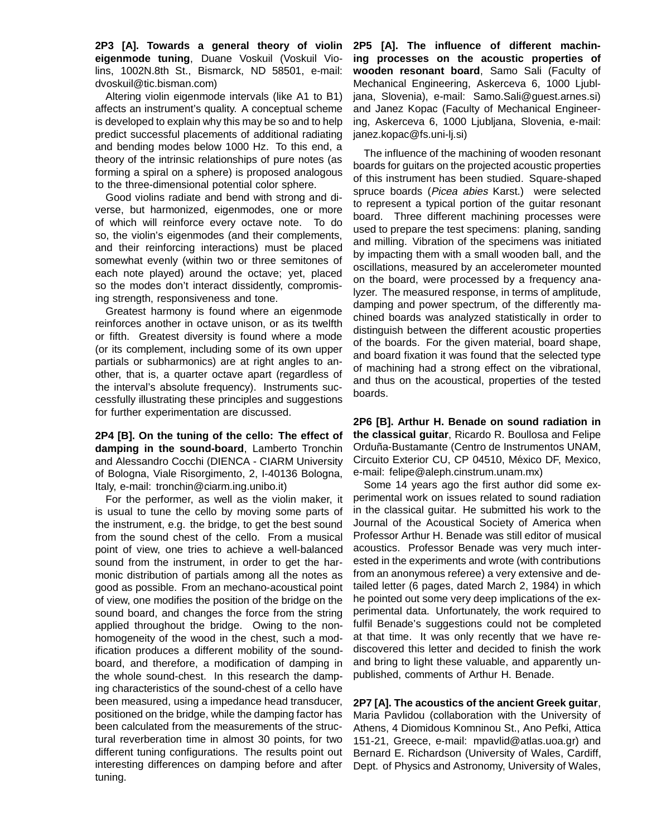**2P3 [A]. Towards a general theory of violin eigenmode tuning**, Duane Voskuil (Voskuil Violins, 1002N.8th St., Bismarck, ND 58501, e-mail: dvoskuil@tic.bisman.com)

Altering violin eigenmode intervals (like A1 to B1) affects an instrument's quality. A conceptual scheme is developed to explain why this may be so and to help predict successful placements of additional radiating and bending modes below 1000 Hz. To this end, a theory of the intrinsic relationships of pure notes (as forming a spiral on a sphere) is proposed analogous to the three-dimensional potential color sphere.

Good violins radiate and bend with strong and diverse, but harmonized, eigenmodes, one or more of which will reinforce every octave note. To do so, the violin's eigenmodes (and their complements, and their reinforcing interactions) must be placed somewhat evenly (within two or three semitones of each note played) around the octave; yet, placed so the modes don't interact dissidently, compromising strength, responsiveness and tone.

Greatest harmony is found where an eigenmode reinforces another in octave unison, or as its twelfth or fifth. Greatest diversity is found where a mode (or its complement, including some of its own upper partials or subharmonics) are at right angles to another, that is, a quarter octave apart (regardless of the interval's absolute frequency). Instruments successfully illustrating these principles and suggestions for further experimentation are discussed.

**2P4 [B]. On the tuning of the cello: The effect of damping in the sound-board**, Lamberto Tronchin and Alessandro Cocchi (DIENCA - CIARM University of Bologna, Viale Risorgimento, 2, I-40136 Bologna, Italy, e-mail: tronchin@ciarm.ing.unibo.it)

For the performer, as well as the violin maker, it is usual to tune the cello by moving some parts of the instrument, e.g. the bridge, to get the best sound from the sound chest of the cello. From a musical point of view, one tries to achieve a well-balanced sound from the instrument, in order to get the harmonic distribution of partials among all the notes as good as possible. From an mechano-acoustical point of view, one modifies the position of the bridge on the sound board, and changes the force from the string applied throughout the bridge. Owing to the nonhomogeneity of the wood in the chest, such a modification produces a different mobility of the soundboard, and therefore, a modification of damping in the whole sound-chest. In this research the damping characteristics of the sound-chest of a cello have been measured, using a impedance head transducer, positioned on the bridge, while the damping factor has been calculated from the measurements of the structural reverberation time in almost 30 points, for two different tuning configurations. The results point out interesting differences on damping before and after tuning.

**2P5 [A]. The influence of different machining processes on the acoustic properties of wooden resonant board**, Samo Sali (Faculty of Mechanical Engineering, Askerceva 6, 1000 Ljubljana, Slovenia), e-mail: Samo.Sali@guest.arnes.si) and Janez Kopac (Faculty of Mechanical Engineering, Askerceva 6, 1000 Ljubljana, Slovenia, e-mail: janez.kopac@fs.uni-lj.si)

The influence of the machining of wooden resonant boards for guitars on the projected acoustic properties of this instrument has been studied. Square-shaped spruce boards (Picea abies Karst.) were selected to represent a typical portion of the guitar resonant board. Three different machining processes were used to prepare the test specimens: planing, sanding and milling. Vibration of the specimens was initiated by impacting them with a small wooden ball, and the oscillations, measured by an accelerometer mounted on the board, were processed by a frequency analyzer. The measured response, in terms of amplitude, damping and power spectrum, of the differently machined boards was analyzed statistically in order to distinguish between the different acoustic properties of the boards. For the given material, board shape, and board fixation it was found that the selected type of machining had a strong effect on the vibrational, and thus on the acoustical, properties of the tested boards.

**2P6 [B]. Arthur H. Benade on sound radiation in the classical guitar**, Ricardo R. Boullosa and Felipe Orduña-Bustamante (Centro de Instrumentos UNAM, Circuito Exterior CU, CP 04510, México DF, Mexico, e-mail: felipe@aleph.cinstrum.unam.mx)

Some 14 years ago the first author did some experimental work on issues related to sound radiation in the classical guitar. He submitted his work to the Journal of the Acoustical Society of America when Professor Arthur H. Benade was still editor of musical acoustics. Professor Benade was very much interested in the experiments and wrote (with contributions from an anonymous referee) a very extensive and detailed letter (6 pages, dated March 2, 1984) in which he pointed out some very deep implications of the experimental data. Unfortunately, the work required to fulfil Benade's suggestions could not be completed at that time. It was only recently that we have rediscovered this letter and decided to finish the work and bring to light these valuable, and apparently unpublished, comments of Arthur H. Benade.

**2P7 [A]. The acoustics of the ancient Greek guitar**, Maria Pavlidou (collaboration with the University of Athens, 4 Diomidous Komninou St., Ano Pefki, Attica 151-21, Greece, e-mail: mpavlid@atlas.uoa.gr) and Bernard E. Richardson (University of Wales, Cardiff, Dept. of Physics and Astronomy, University of Wales,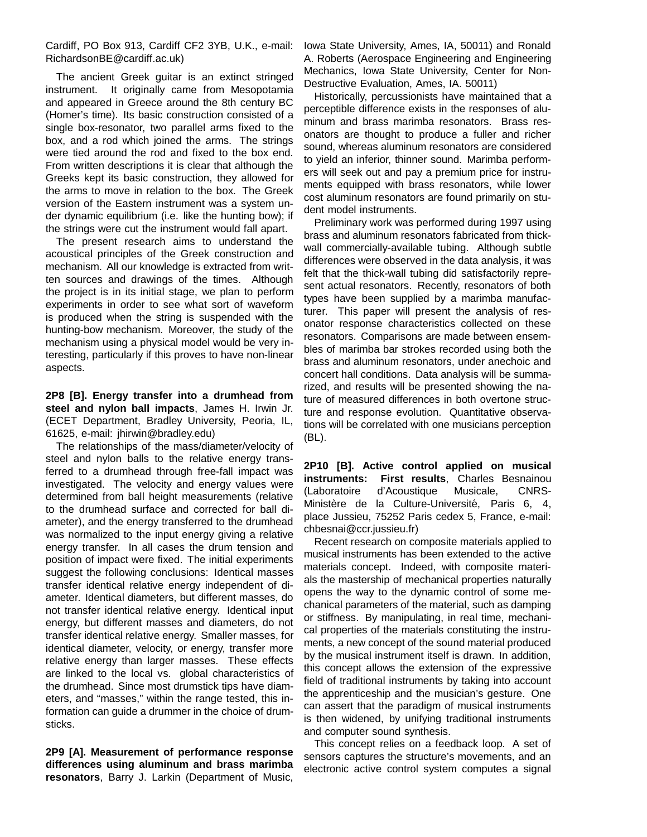Cardiff, PO Box 913, Cardiff CF2 3YB, U.K., e-mail: RichardsonBE@cardiff.ac.uk)

The ancient Greek guitar is an extinct stringed instrument. It originally came from Mesopotamia and appeared in Greece around the 8th century BC (Homer's time). Its basic construction consisted of a single box-resonator, two parallel arms fixed to the box, and a rod which joined the arms. The strings were tied around the rod and fixed to the box end. From written descriptions it is clear that although the Greeks kept its basic construction, they allowed for the arms to move in relation to the box. The Greek version of the Eastern instrument was a system under dynamic equilibrium (i.e. like the hunting bow); if the strings were cut the instrument would fall apart.

The present research aims to understand the acoustical principles of the Greek construction and mechanism. All our knowledge is extracted from written sources and drawings of the times. Although the project is in its initial stage, we plan to perform experiments in order to see what sort of waveform is produced when the string is suspended with the hunting-bow mechanism. Moreover, the study of the mechanism using a physical model would be very interesting, particularly if this proves to have non-linear aspects.

**2P8 [B]. Energy transfer into a drumhead from steel and nylon ball impacts**, James H. Irwin Jr. (ECET Department, Bradley University, Peoria, IL, 61625, e-mail: jhirwin@bradley.edu)

The relationships of the mass/diameter/velocity of steel and nylon balls to the relative energy transferred to a drumhead through free-fall impact was investigated. The velocity and energy values were determined from ball height measurements (relative to the drumhead surface and corrected for ball diameter), and the energy transferred to the drumhead was normalized to the input energy giving a relative energy transfer. In all cases the drum tension and position of impact were fixed. The initial experiments suggest the following conclusions: Identical masses transfer identical relative energy independent of diameter. Identical diameters, but different masses, do not transfer identical relative energy. Identical input energy, but different masses and diameters, do not transfer identical relative energy. Smaller masses, for identical diameter, velocity, or energy, transfer more relative energy than larger masses. These effects are linked to the local vs. global characteristics of the drumhead. Since most drumstick tips have diameters, and "masses," within the range tested, this information can guide a drummer in the choice of drumsticks.

**2P9 [A]. Measurement of performance response differences using aluminum and brass marimba resonators**, Barry J. Larkin (Department of Music,

Iowa State University, Ames, IA, 50011) and Ronald A. Roberts (Aerospace Engineering and Engineering Mechanics, Iowa State University, Center for Non-Destructive Evaluation, Ames, IA. 50011)

Historically, percussionists have maintained that a perceptible difference exists in the responses of aluminum and brass marimba resonators. Brass resonators are thought to produce a fuller and richer sound, whereas aluminum resonators are considered to yield an inferior, thinner sound. Marimba performers will seek out and pay a premium price for instruments equipped with brass resonators, while lower cost aluminum resonators are found primarily on student model instruments.

Preliminary work was performed during 1997 using brass and aluminum resonators fabricated from thickwall commercially-available tubing. Although subtle differences were observed in the data analysis, it was felt that the thick-wall tubing did satisfactorily represent actual resonators. Recently, resonators of both types have been supplied by a marimba manufacturer. This paper will present the analysis of resonator response characteristics collected on these resonators. Comparisons are made between ensembles of marimba bar strokes recorded using both the brass and aluminum resonators, under anechoic and concert hall conditions. Data analysis will be summarized, and results will be presented showing the nature of measured differences in both overtone structure and response evolution. Quantitative observations will be correlated with one musicians perception (BL).

**2P10 [B]. Active control applied on musical instruments: First results**, Charles Besnainou (Laboratoire d'Acoustique Musicale, CNRS-Ministère de la Culture-Université, Paris 6, 4, place Jussieu, 75252 Paris cedex 5, France, e-mail: chbesnai@ccr.jussieu.fr)

Recent research on composite materials applied to musical instruments has been extended to the active materials concept. Indeed, with composite materials the mastership of mechanical properties naturally opens the way to the dynamic control of some mechanical parameters of the material, such as damping or stiffness. By manipulating, in real time, mechanical properties of the materials constituting the instruments, a new concept of the sound material produced by the musical instrument itself is drawn. In addition, this concept allows the extension of the expressive field of traditional instruments by taking into account the apprenticeship and the musician's gesture. One can assert that the paradigm of musical instruments is then widened, by unifying traditional instruments and computer sound synthesis.

This concept relies on a feedback loop. A set of sensors captures the structure's movements, and an electronic active control system computes a signal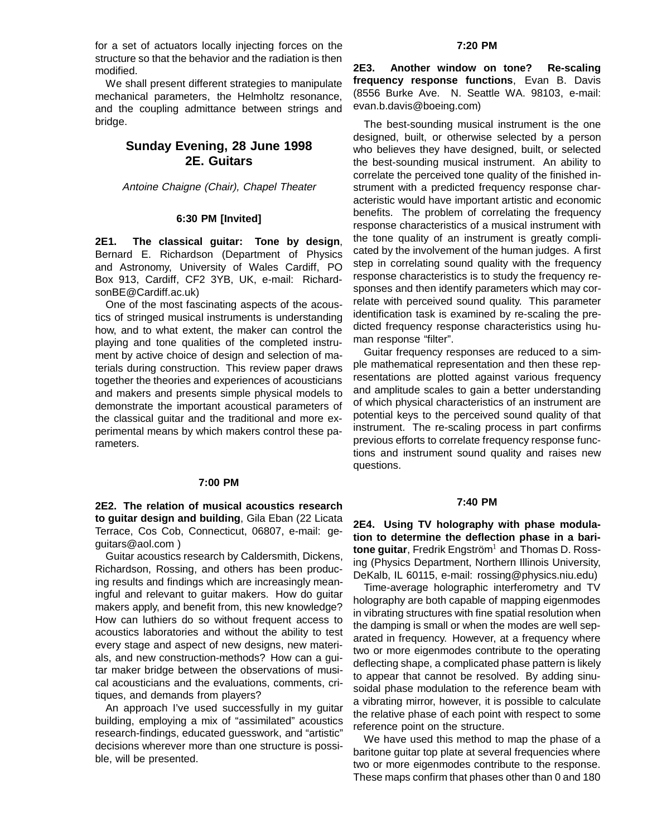for a set of actuators locally injecting forces on the structure so that the behavior and the radiation is then modified.

We shall present different strategies to manipulate mechanical parameters, the Helmholtz resonance, and the coupling admittance between strings and bridge.

### **Sunday Evening, 28 June 1998 2E. Guitars**

#### Antoine Chaigne (Chair), Chapel Theater

#### **6:30 PM [Invited]**

**2E1. The classical guitar: Tone by design**, Bernard E. Richardson (Department of Physics and Astronomy, University of Wales Cardiff, PO Box 913, Cardiff, CF2 3YB, UK, e-mail: RichardsonBE@Cardiff.ac.uk)

One of the most fascinating aspects of the acoustics of stringed musical instruments is understanding how, and to what extent, the maker can control the playing and tone qualities of the completed instrument by active choice of design and selection of materials during construction. This review paper draws together the theories and experiences of acousticians and makers and presents simple physical models to demonstrate the important acoustical parameters of the classical guitar and the traditional and more experimental means by which makers control these parameters.

#### **7:00 PM**

**2E2. The relation of musical acoustics research to guitar design and building**, Gila Eban (22 Licata Terrace, Cos Cob, Connecticut, 06807, e-mail: geguitars@aol.com )

Guitar acoustics research by Caldersmith, Dickens, Richardson, Rossing, and others has been producing results and findings which are increasingly meaningful and relevant to guitar makers. How do guitar makers apply, and benefit from, this new knowledge? How can luthiers do so without frequent access to acoustics laboratories and without the ability to test every stage and aspect of new designs, new materials, and new construction-methods? How can a guitar maker bridge between the observations of musical acousticians and the evaluations, comments, critiques, and demands from players?

An approach I've used successfully in my guitar building, employing a mix of "assimilated" acoustics research-findings, educated guesswork, and "artistic" decisions wherever more than one structure is possible, will be presented.

#### **7:20 PM**

**2E3. Another window on tone? Re-scaling frequency response functions**, Evan B. Davis (8556 Burke Ave. N. Seattle WA. 98103, e-mail: evan.b.davis@boeing.com)

The best-sounding musical instrument is the one designed, built, or otherwise selected by a person who believes they have designed, built, or selected the best-sounding musical instrument. An ability to correlate the perceived tone quality of the finished instrument with a predicted frequency response characteristic would have important artistic and economic benefits. The problem of correlating the frequency response characteristics of a musical instrument with the tone quality of an instrument is greatly complicated by the involvement of the human judges. A first step in correlating sound quality with the frequency response characteristics is to study the frequency responses and then identify parameters which may correlate with perceived sound quality. This parameter identification task is examined by re-scaling the predicted frequency response characteristics using human response "filter".

Guitar frequency responses are reduced to a simple mathematical representation and then these representations are plotted against various frequency and amplitude scales to gain a better understanding of which physical characteristics of an instrument are potential keys to the perceived sound quality of that instrument. The re-scaling process in part confirms previous efforts to correlate frequency response functions and instrument sound quality and raises new questions.

#### **7:40 PM**

**2E4. Using TV holography with phase modulation to determine the deflection phase in a baritone guitar**, Fredrik Engström<sup>1</sup> and Thomas D. Rossing (Physics Department, Northern Illinois University, DeKalb, IL 60115, e-mail: rossing@physics.niu.edu)

Time-average holographic interferometry and TV holography are both capable of mapping eigenmodes in vibrating structures with fine spatial resolution when the damping is small or when the modes are well separated in frequency. However, at a frequency where two or more eigenmodes contribute to the operating deflecting shape, a complicated phase pattern is likely to appear that cannot be resolved. By adding sinusoidal phase modulation to the reference beam with a vibrating mirror, however, it is possible to calculate the relative phase of each point with respect to some reference point on the structure.

We have used this method to map the phase of a baritone guitar top plate at several frequencies where two or more eigenmodes contribute to the response. These maps confirm that phases other than 0 and 180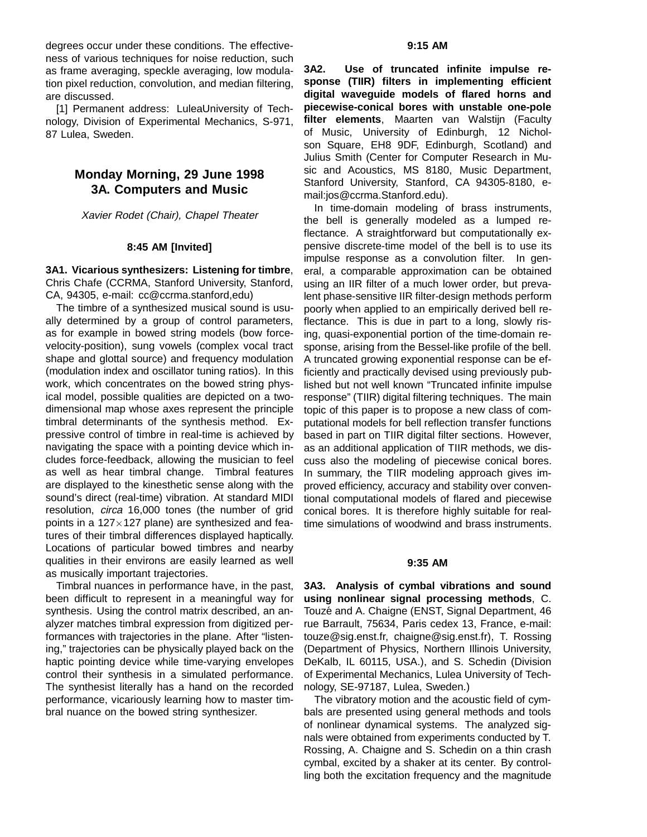degrees occur under these conditions. The effectiveness of various techniques for noise reduction, such as frame averaging, speckle averaging, low modulation pixel reduction, convolution, and median filtering, are discussed.

[1] Permanent address: LuleaUniversity of Technology, Division of Experimental Mechanics, S-971, 87 Lulea, Sweden.

### **Monday Morning, 29 June 1998 3A. Computers and Music**

Xavier Rodet (Chair), Chapel Theater

#### **8:45 AM [Invited]**

**3A1. Vicarious synthesizers: Listening for timbre**, Chris Chafe (CCRMA, Stanford University, Stanford, CA, 94305, e-mail: cc@ccrma.stanford,edu)

The timbre of a synthesized musical sound is usually determined by a group of control parameters, as for example in bowed string models (bow forcevelocity-position), sung vowels (complex vocal tract shape and glottal source) and frequency modulation (modulation index and oscillator tuning ratios). In this work, which concentrates on the bowed string physical model, possible qualities are depicted on a twodimensional map whose axes represent the principle timbral determinants of the synthesis method. Expressive control of timbre in real-time is achieved by navigating the space with a pointing device which includes force-feedback, allowing the musician to feel as well as hear timbral change. Timbral features are displayed to the kinesthetic sense along with the sound's direct (real-time) vibration. At standard MIDI resolution, circa 16,000 tones (the number of grid points in a 127 $\times$ 127 plane) are synthesized and features of their timbral differences displayed haptically. Locations of particular bowed timbres and nearby qualities in their environs are easily learned as well as musically important trajectories.

Timbral nuances in performance have, in the past, been difficult to represent in a meaningful way for synthesis. Using the control matrix described, an analyzer matches timbral expression from digitized performances with trajectories in the plane. After "listening," trajectories can be physically played back on the haptic pointing device while time-varying envelopes control their synthesis in a simulated performance. The synthesist literally has a hand on the recorded performance, vicariously learning how to master timbral nuance on the bowed string synthesizer.

**3A2. Use of truncated infinite impulse response (TIIR) filters in implementing efficient digital waveguide models of flared horns and piecewise-conical bores with unstable one-pole filter elements**, Maarten van Walstijn (Faculty of Music, University of Edinburgh, 12 Nicholson Square, EH8 9DF, Edinburgh, Scotland) and Julius Smith (Center for Computer Research in Music and Acoustics, MS 8180, Music Department, Stanford University, Stanford, CA 94305-8180, email:jos@ccrma.Stanford.edu).

In time-domain modeling of brass instruments, the bell is generally modeled as a lumped reflectance. A straightforward but computationally expensive discrete-time model of the bell is to use its impulse response as a convolution filter. In general, a comparable approximation can be obtained using an IIR filter of a much lower order, but prevalent phase-sensitive IIR filter-design methods perform poorly when applied to an empirically derived bell reflectance. This is due in part to a long, slowly rising, quasi-exponential portion of the time-domain response, arising from the Bessel-like profile of the bell. A truncated growing exponential response can be efficiently and practically devised using previously published but not well known "Truncated infinite impulse response" (TIIR) digital filtering techniques. The main topic of this paper is to propose a new class of computational models for bell reflection transfer functions based in part on TIIR digital filter sections. However, as an additional application of TIIR methods, we discuss also the modeling of piecewise conical bores. In summary, the TIIR modeling approach gives improved efficiency, accuracy and stability over conventional computational models of flared and piecewise conical bores. It is therefore highly suitable for realtime simulations of woodwind and brass instruments.

#### **9:35 AM**

**3A3. Analysis of cymbal vibrations and sound using nonlinear signal processing methods**, C. Touzé and A. Chaigne (ENST, Signal Department, 46 rue Barrault, 75634, Paris cedex 13, France, e-mail: touze@sig.enst.fr, chaigne@sig.enst.fr), T. Rossing (Department of Physics, Northern Illinois University, DeKalb, IL 60115, USA.), and S. Schedin (Division of Experimental Mechanics, Lulea University of Technology, SE-97187, Lulea, Sweden.)

The vibratory motion and the acoustic field of cymbals are presented using general methods and tools of nonlinear dynamical systems. The analyzed signals were obtained from experiments conducted by T. Rossing, A. Chaigne and S. Schedin on a thin crash cymbal, excited by a shaker at its center. By controlling both the excitation frequency and the magnitude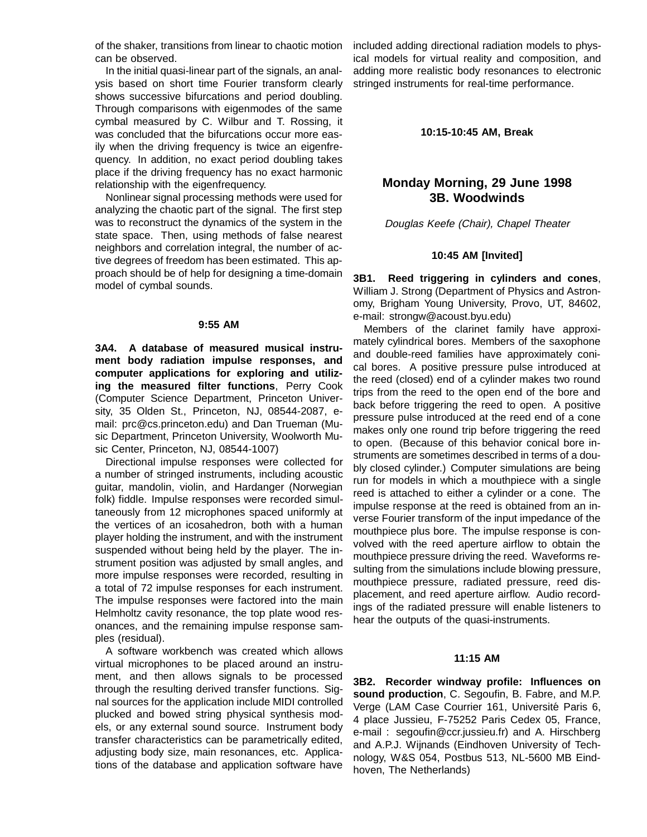of the shaker, transitions from linear to chaotic motion can be observed.

In the initial quasi-linear part of the signals, an analysis based on short time Fourier transform clearly shows successive bifurcations and period doubling. Through comparisons with eigenmodes of the same cymbal measured by C. Wilbur and T. Rossing, it was concluded that the bifurcations occur more easily when the driving frequency is twice an eigenfrequency. In addition, no exact period doubling takes place if the driving frequency has no exact harmonic relationship with the eigenfrequency.

Nonlinear signal processing methods were used for analyzing the chaotic part of the signal. The first step was to reconstruct the dynamics of the system in the state space. Then, using methods of false nearest neighbors and correlation integral, the number of active degrees of freedom has been estimated. This approach should be of help for designing a time-domain model of cymbal sounds.

#### **9:55 AM**

**3A4. A database of measured musical instrument body radiation impulse responses, and computer applications for exploring and utilizing the measured filter functions**, Perry Cook (Computer Science Department, Princeton University, 35 Olden St., Princeton, NJ, 08544-2087, email: prc@cs.princeton.edu) and Dan Trueman (Music Department, Princeton University, Woolworth Music Center, Princeton, NJ, 08544-1007)

Directional impulse responses were collected for a number of stringed instruments, including acoustic guitar, mandolin, violin, and Hardanger (Norwegian folk) fiddle. Impulse responses were recorded simultaneously from 12 microphones spaced uniformly at the vertices of an icosahedron, both with a human player holding the instrument, and with the instrument suspended without being held by the player. The instrument position was adjusted by small angles, and more impulse responses were recorded, resulting in a total of 72 impulse responses for each instrument. The impulse responses were factored into the main Helmholtz cavity resonance, the top plate wood resonances, and the remaining impulse response samples (residual).

A software workbench was created which allows virtual microphones to be placed around an instrument, and then allows signals to be processed through the resulting derived transfer functions. Signal sources for the application include MIDI controlled plucked and bowed string physical synthesis models, or any external sound source. Instrument body transfer characteristics can be parametrically edited, adjusting body size, main resonances, etc. Applications of the database and application software have

included adding directional radiation models to physical models for virtual reality and composition, and adding more realistic body resonances to electronic stringed instruments for real-time performance.

#### **10:15-10:45 AM, Break**

### **Monday Morning, 29 June 1998 3B. Woodwinds**

Douglas Keefe (Chair), Chapel Theater

#### **10:45 AM [Invited]**

**3B1. Reed triggering in cylinders and cones**, William J. Strong (Department of Physics and Astronomy, Brigham Young University, Provo, UT, 84602, e-mail: strongw@acoust.byu.edu)

Members of the clarinet family have approximately cylindrical bores. Members of the saxophone and double-reed families have approximately conical bores. A positive pressure pulse introduced at the reed (closed) end of a cylinder makes two round trips from the reed to the open end of the bore and back before triggering the reed to open. A positive pressure pulse introduced at the reed end of a cone makes only one round trip before triggering the reed to open. (Because of this behavior conical bore instruments are sometimes described in terms of a doubly closed cylinder.) Computer simulations are being run for models in which a mouthpiece with a single reed is attached to either a cylinder or a cone. The impulse response at the reed is obtained from an inverse Fourier transform of the input impedance of the mouthpiece plus bore. The impulse response is convolved with the reed aperture airflow to obtain the mouthpiece pressure driving the reed. Waveforms resulting from the simulations include blowing pressure, mouthpiece pressure, radiated pressure, reed displacement, and reed aperture airflow. Audio recordings of the radiated pressure will enable listeners to hear the outputs of the quasi-instruments.

#### **11:15 AM**

**3B2. Recorder windway profile: Influences on sound production**, C. Segoufin, B. Fabre, and M.P. Verge (LAM Case Courrier 161, Université Paris 6, 4 place Jussieu, F-75252 Paris Cedex 05, France, e-mail : segoufin@ccr.jussieu.fr) and A. Hirschberg and A.P.J. Wijnands (Eindhoven University of Technology, W&S 054, Postbus 513, NL-5600 MB Eindhoven, The Netherlands)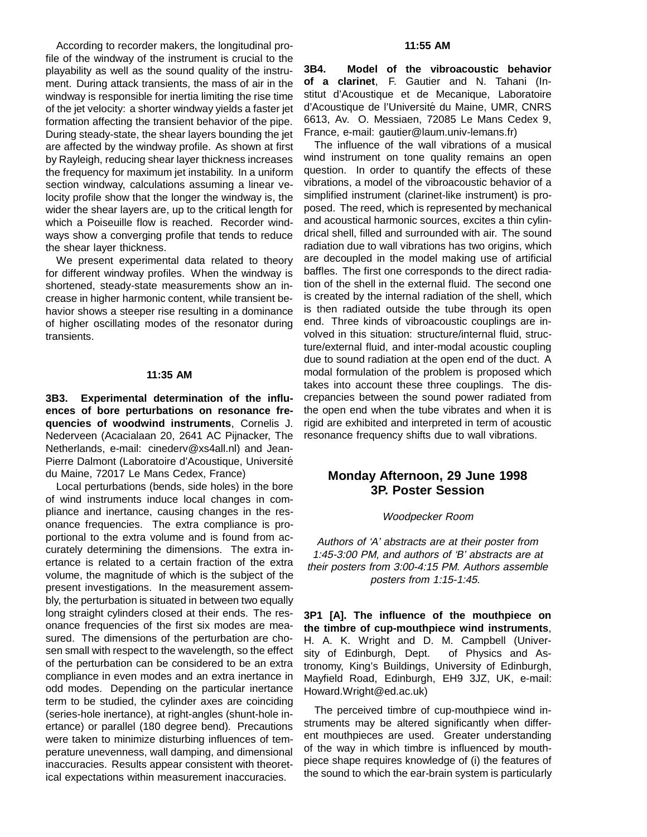According to recorder makers, the longitudinal profile of the windway of the instrument is crucial to the playability as well as the sound quality of the instrument. During attack transients, the mass of air in the windway is responsible for inertia limiting the rise time of the jet velocity: a shorter windway yields a faster jet formation affecting the transient behavior of the pipe. During steady-state, the shear layers bounding the jet are affected by the windway profile. As shown at first by Rayleigh, reducing shear layer thickness increases the frequency for maximum jet instability. In a uniform section windway, calculations assuming a linear velocity profile show that the longer the windway is, the wider the shear layers are, up to the critical length for which a Poiseuille flow is reached. Recorder windways show a converging profile that tends to reduce the shear layer thickness.

We present experimental data related to theory for different windway profiles. When the windway is shortened, steady-state measurements show an increase in higher harmonic content, while transient behavior shows a steeper rise resulting in a dominance of higher oscillating modes of the resonator during transients.

#### **11:35 AM**

**3B3. Experimental determination of the influences of bore perturbations on resonance frequencies of woodwind instruments**, Cornelis J. Nederveen (Acacialaan 20, 2641 AC Pijnacker, The Netherlands, e-mail: cinederv@xs4all.nl) and Jean-Pierre Dalmont (Laboratoire d'Acoustique, Université du Maine, 72017 Le Mans Cedex, France)

Local perturbations (bends, side holes) in the bore of wind instruments induce local changes in compliance and inertance, causing changes in the resonance frequencies. The extra compliance is proportional to the extra volume and is found from accurately determining the dimensions. The extra inertance is related to a certain fraction of the extra volume, the magnitude of which is the subject of the present investigations. In the measurement assembly, the perturbation is situated in between two equally long straight cylinders closed at their ends. The resonance frequencies of the first six modes are measured. The dimensions of the perturbation are chosen small with respect to the wavelength, so the effect of the perturbation can be considered to be an extra compliance in even modes and an extra inertance in odd modes. Depending on the particular inertance term to be studied, the cylinder axes are coinciding (series-hole inertance), at right-angles (shunt-hole inertance) or parallel (180 degree bend). Precautions were taken to minimize disturbing influences of temperature unevenness, wall damping, and dimensional inaccuracies. Results appear consistent with theoretical expectations within measurement inaccuracies.

**3B4. Model of the vibroacoustic behavior of a clarinet**, F. Gautier and N. Tahani (Institut d'Acoustique et de Mecanique, Laboratoire d'Acoustique de l'Université du Maine, UMR, CNRS 6613, Av. O. Messiaen, 72085 Le Mans Cedex 9, France, e-mail: gautier@laum.univ-lemans.fr)

The influence of the wall vibrations of a musical wind instrument on tone quality remains an open question. In order to quantify the effects of these vibrations, a model of the vibroacoustic behavior of a simplified instrument (clarinet-like instrument) is proposed. The reed, which is represented by mechanical and acoustical harmonic sources, excites a thin cylindrical shell, filled and surrounded with air. The sound radiation due to wall vibrations has two origins, which are decoupled in the model making use of artificial baffles. The first one corresponds to the direct radiation of the shell in the external fluid. The second one is created by the internal radiation of the shell, which is then radiated outside the tube through its open end. Three kinds of vibroacoustic couplings are involved in this situation: structure/internal fluid, structure/external fluid, and inter-modal acoustic coupling due to sound radiation at the open end of the duct. A modal formulation of the problem is proposed which takes into account these three couplings. The discrepancies between the sound power radiated from the open end when the tube vibrates and when it is rigid are exhibited and interpreted in term of acoustic resonance frequency shifts due to wall vibrations.

### **Monday Afternoon, 29 June 1998 3P. Poster Session**

#### Woodpecker Room

Authors of 'A' abstracts are at their poster from 1:45-3:00 PM, and authors of 'B' abstracts are at their posters from 3:00-4:15 PM. Authors assemble posters from 1:15-1:45.

**3P1 [A]. The influence of the mouthpiece on the timbre of cup-mouthpiece wind instruments**, H. A. K. Wright and D. M. Campbell (University of Edinburgh, Dept. of Physics and Astronomy, King's Buildings, University of Edinburgh, Mayfield Road, Edinburgh, EH9 3JZ, UK, e-mail: Howard.Wright@ed.ac.uk)

The perceived timbre of cup-mouthpiece wind instruments may be altered significantly when different mouthpieces are used. Greater understanding of the way in which timbre is influenced by mouthpiece shape requires knowledge of (i) the features of the sound to which the ear-brain system is particularly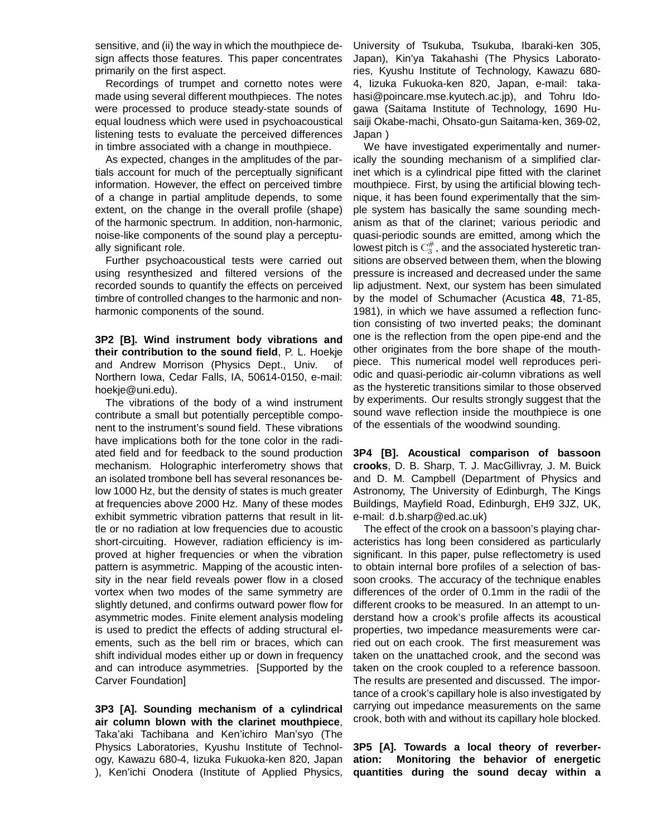sensitive, and (ii) the way in which the mouthpiece design affects those features. This paper concentrates primarily on the first aspect.

Recordings of trumpet and cornetto notes were made using several different mouthpieces. The notes were processed to produce steady-state sounds of equal loudness which were used in psychoacoustical listening tests to evaluate the perceived differences in timbre associated with a change in mouthpiece.

As expected, changes in the amplitudes of the partials account for much of the perceptually significant information. However, the effect on perceived timbre of a change in partial amplitude depends, to some extent, on the change in the overall profile (shape) of the harmonic spectrum. In addition, non-harmonic, noise-like components of the sound play a perceptually significant role.

Further psychoacoustical tests were carried out using resynthesized and filtered versions of the recorded sounds to quantify the effects on perceived timbre of controlled changes to the harmonic and nonharmonic components of the sound.

**3P2 [B]. Wind instrument body vibrations and their contribution to the sound field**, P. L. Hoekje and Andrew Morrison (Physics Dept., Univ. of Northern Iowa, Cedar Falls, IA, 50614-0150, e-mail: hoekje@uni.edu).

The vibrations of the body of a wind instrument contribute a small but potentially perceptible component to the instrument's sound field. These vibrations have implications both for the tone color in the radiated field and for feedback to the sound production mechanism. Holographic interferometry shows that an isolated trombone bell has several resonances below 1000 Hz, but the density of states is much greater at frequencies above 2000 Hz. Many of these modes exhibit symmetric vibration patterns that result in little or no radiation at low frequencies due to acoustic short-circuiting. However, radiation efficiency is improved at higher frequencies or when the vibration pattern is asymmetric. Mapping of the acoustic intensity in the near field reveals power flow in a closed vortex when two modes of the same symmetry are slightly detuned, and confirms outward power flow for asymmetric modes. Finite element analysis modeling is used to predict the effects of adding structural elements, such as the bell rim or braces, which can shift individual modes either up or down in frequency and can introduce asymmetries. [Supported by the Carver Foundation]

**3P3 [A]. Sounding mechanism of a cylindrical air column blown with the clarinet mouthpiece**, Taka'aki Tachibana and Ken'ichiro Man'syo (The Physics Laboratories, Kyushu Institute of Technology, Kawazu 680-4, Iizuka Fukuoka-ken 820, Japan ), Ken'ichi Onodera (Institute of Applied Physics,

University of Tsukuba, Tsukuba, Ibaraki-ken 305, Japan), Kin'ya Takahashi (The Physics Laboratories, Kyushu Institute of Technology, Kawazu 680- 4, Iizuka Fukuoka-ken 820, Japan, e-mail: takahasi@poincare.mse.kyutech.ac.jp), and Tohru Idogawa (Saitama Institute of Technology, 1690 Husaiji Okabe-machi, Ohsato-gun Saitama-ken, 369-02, Japan )

We have investigated experimentally and numerically the sounding mechanism of a simplified clarinet which is a cylindrical pipe fitted with the clarinet mouthpiece. First, by using the artificial blowing technique, it has been found experimentally that the simple system has basically the same sounding mechanism as that of the clarinet; various periodic and quasi-periodic sounds are emitted, among which the lowest pitch is  $\mathrm{C}_3^{\#}$ , and the associated hysteretic transitions are observed between them, when the blowing pressure is increased and decreased under the same lip adjustment. Next, our system has been simulated by the model of Schumacher (Acustica **48**, 71-85, 1981), in which we have assumed a reflection function consisting of two inverted peaks; the dominant one is the reflection from the open pipe-end and the other originates from the bore shape of the mouthpiece. This numerical model well reproduces periodic and quasi-periodic air-column vibrations as well as the hysteretic transitions similar to those observed by experiments. Our results strongly suggest that the sound wave reflection inside the mouthpiece is one of the essentials of the woodwind sounding.

**3P4 [B]. Acoustical comparison of bassoon crooks**, D. B. Sharp, T. J. MacGillivray, J. M. Buick and D. M. Campbell (Department of Physics and Astronomy, The University of Edinburgh, The Kings Buildings, Mayfield Road, Edinburgh, EH9 3JZ, UK, e-mail: d.b.sharp@ed.ac.uk)

The effect of the crook on a bassoon's playing characteristics has long been considered as particularly significant. In this paper, pulse reflectometry is used to obtain internal bore profiles of a selection of bassoon crooks. The accuracy of the technique enables differences of the order of 0.1mm in the radii of the different crooks to be measured. In an attempt to understand how a crook's profile affects its acoustical properties, two impedance measurements were carried out on each crook. The first measurement was taken on the unattached crook, and the second was taken on the crook coupled to a reference bassoon. The results are presented and discussed. The importance of a crook's capillary hole is also investigated by carrying out impedance measurements on the same crook, both with and without its capillary hole blocked.

**3P5 [A]. Towards a local theory of reverberation: Monitoring the behavior of energetic quantities during the sound decay within a**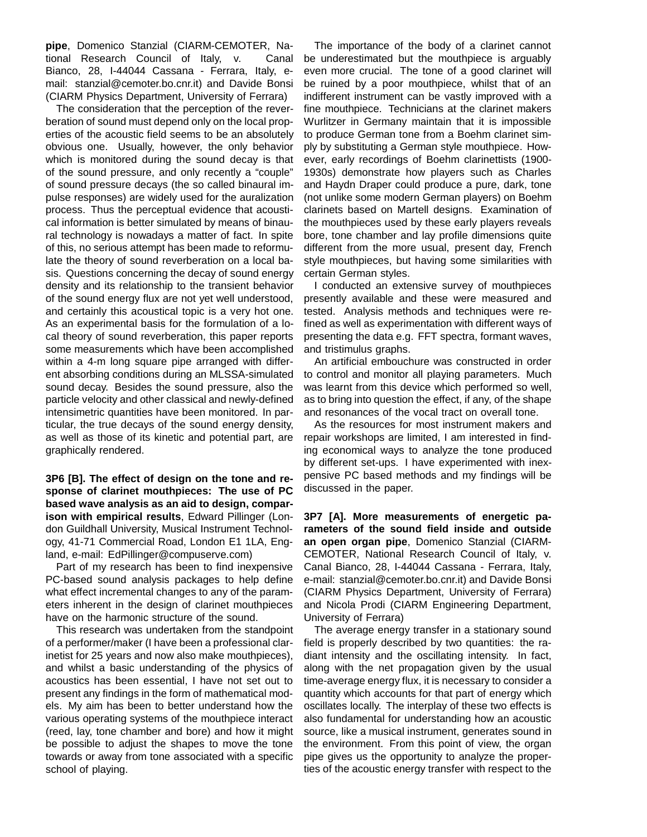**pipe**, Domenico Stanzial (CIARM-CEMOTER, National Research Council of Italy, v. Canal Bianco, 28, I-44044 Cassana - Ferrara, Italy, email: stanzial@cemoter.bo.cnr.it) and Davide Bonsi (CIARM Physics Department, University of Ferrara)

The consideration that the perception of the reverberation of sound must depend only on the local properties of the acoustic field seems to be an absolutely obvious one. Usually, however, the only behavior which is monitored during the sound decay is that of the sound pressure, and only recently a "couple" of sound pressure decays (the so called binaural impulse responses) are widely used for the auralization process. Thus the perceptual evidence that acoustical information is better simulated by means of binaural technology is nowadays a matter of fact. In spite of this, no serious attempt has been made to reformulate the theory of sound reverberation on a local basis. Questions concerning the decay of sound energy density and its relationship to the transient behavior of the sound energy flux are not yet well understood, and certainly this acoustical topic is a very hot one. As an experimental basis for the formulation of a local theory of sound reverberation, this paper reports some measurements which have been accomplished within a 4-m long square pipe arranged with different absorbing conditions during an MLSSA-simulated sound decay. Besides the sound pressure, also the particle velocity and other classical and newly-defined intensimetric quantities have been monitored. In particular, the true decays of the sound energy density, as well as those of its kinetic and potential part, are graphically rendered.

**3P6 [B]. The effect of design on the tone and response of clarinet mouthpieces: The use of PC based wave analysis as an aid to design, comparison with empirical results**, Edward Pillinger (London Guildhall University, Musical Instrument Technology, 41-71 Commercial Road, London E1 1LA, England, e-mail: EdPillinger@compuserve.com)

Part of my research has been to find inexpensive PC-based sound analysis packages to help define what effect incremental changes to any of the parameters inherent in the design of clarinet mouthpieces have on the harmonic structure of the sound.

This research was undertaken from the standpoint of a performer/maker (I have been a professional clarinetist for 25 years and now also make mouthpieces), and whilst a basic understanding of the physics of acoustics has been essential, I have not set out to present any findings in the form of mathematical models. My aim has been to better understand how the various operating systems of the mouthpiece interact (reed, lay, tone chamber and bore) and how it might be possible to adjust the shapes to move the tone towards or away from tone associated with a specific school of playing.

The importance of the body of a clarinet cannot be underestimated but the mouthpiece is arguably even more crucial. The tone of a good clarinet will be ruined by a poor mouthpiece, whilst that of an indifferent instrument can be vastly improved with a fine mouthpiece. Technicians at the clarinet makers Wurlitzer in Germany maintain that it is impossible to produce German tone from a Boehm clarinet simply by substituting a German style mouthpiece. However, early recordings of Boehm clarinettists (1900- 1930s) demonstrate how players such as Charles and Haydn Draper could produce a pure, dark, tone (not unlike some modern German players) on Boehm clarinets based on Martell designs. Examination of the mouthpieces used by these early players reveals bore, tone chamber and lay profile dimensions quite different from the more usual, present day, French style mouthpieces, but having some similarities with certain German styles.

I conducted an extensive survey of mouthpieces presently available and these were measured and tested. Analysis methods and techniques were refined as well as experimentation with different ways of presenting the data e.g. FFT spectra, formant waves, and tristimulus graphs.

An artificial embouchure was constructed in order to control and monitor all playing parameters. Much was learnt from this device which performed so well, as to bring into question the effect, if any, of the shape and resonances of the vocal tract on overall tone.

As the resources for most instrument makers and repair workshops are limited, I am interested in finding economical ways to analyze the tone produced by different set-ups. I have experimented with inexpensive PC based methods and my findings will be discussed in the paper.

**3P7 [A]. More measurements of energetic parameters of the sound field inside and outside an open organ pipe**, Domenico Stanzial (CIARM-CEMOTER, National Research Council of Italy, v. Canal Bianco, 28, I-44044 Cassana - Ferrara, Italy, e-mail: stanzial@cemoter.bo.cnr.it) and Davide Bonsi (CIARM Physics Department, University of Ferrara) and Nicola Prodi (CIARM Engineering Department, University of Ferrara)

The average energy transfer in a stationary sound field is properly described by two quantities: the radiant intensity and the oscillating intensity. In fact, along with the net propagation given by the usual time-average energy flux, it is necessary to consider a quantity which accounts for that part of energy which oscillates locally. The interplay of these two effects is also fundamental for understanding how an acoustic source, like a musical instrument, generates sound in the environment. From this point of view, the organ pipe gives us the opportunity to analyze the properties of the acoustic energy transfer with respect to the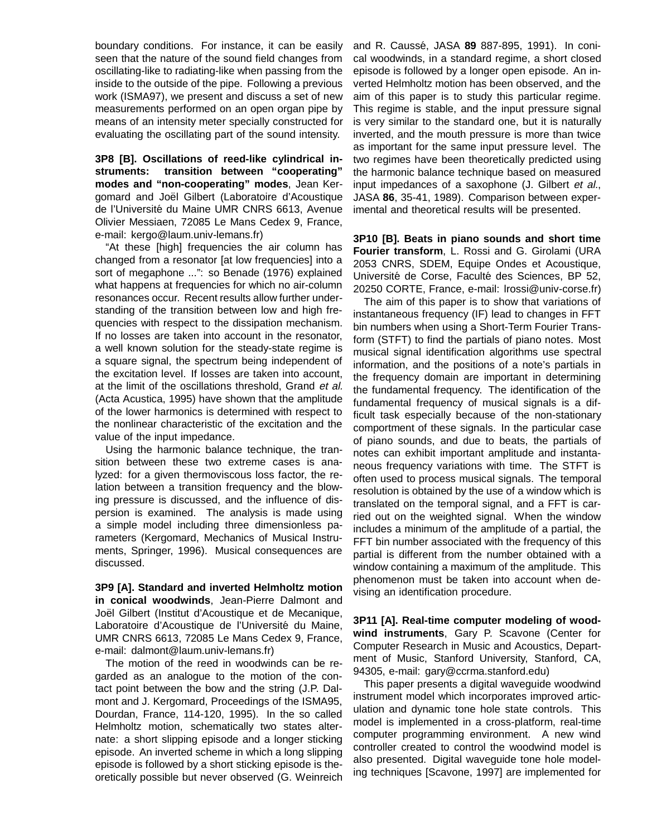boundary conditions. For instance, it can be easily seen that the nature of the sound field changes from oscillating-like to radiating-like when passing from the inside to the outside of the pipe. Following a previous work (ISMA97), we present and discuss a set of new measurements performed on an open organ pipe by means of an intensity meter specially constructed for evaluating the oscillating part of the sound intensity.

**3P8 [B]. Oscillations of reed-like cylindrical instruments: transition between "cooperating" modes and "non-cooperating" modes**, Jean Kergomard and Joël Gilbert (Laboratoire d'Acoustique de l'Université du Maine UMR CNRS 6613, Avenue Olivier Messiaen, 72085 Le Mans Cedex 9, France, e-mail: kergo@laum.univ-lemans.fr)

"At these [high] frequencies the air column has changed from a resonator [at low frequencies] into a sort of megaphone ...": so Benade (1976) explained what happens at frequencies for which no air-column resonances occur. Recent results allow further understanding of the transition between low and high frequencies with respect to the dissipation mechanism. If no losses are taken into account in the resonator, a well known solution for the steady-state regime is a square signal, the spectrum being independent of the excitation level. If losses are taken into account, at the limit of the oscillations threshold, Grand et al. (Acta Acustica, 1995) have shown that the amplitude of the lower harmonics is determined with respect to the nonlinear characteristic of the excitation and the value of the input impedance.

Using the harmonic balance technique, the transition between these two extreme cases is analyzed: for a given thermoviscous loss factor, the relation between a transition frequency and the blowing pressure is discussed, and the influence of dispersion is examined. The analysis is made using a simple model including three dimensionless parameters (Kergomard, Mechanics of Musical Instruments, Springer, 1996). Musical consequences are discussed.

**3P9 [A]. Standard and inverted Helmholtz motion in conical woodwinds**, Jean-Pierre Dalmont and Joël Gilbert (Institut d'Acoustique et de Mecanique, Laboratoire d'Acoustique de l'Université du Maine, UMR CNRS 6613, 72085 Le Mans Cedex 9, France, e-mail: dalmont@laum.univ-lemans.fr)

The motion of the reed in woodwinds can be regarded as an analogue to the motion of the contact point between the bow and the string (J.P. Dalmont and J. Kergomard, Proceedings of the ISMA95, Dourdan, France, 114-120, 1995). In the so called Helmholtz motion, schematically two states alternate: a short slipping episode and a longer sticking episode. An inverted scheme in which a long slipping episode is followed by a short sticking episode is theoretically possible but never observed (G. Weinreich

and R. Caussé, JASA 89 887-895, 1991). In conical woodwinds, in a standard regime, a short closed episode is followed by a longer open episode. An inverted Helmholtz motion has been observed, and the aim of this paper is to study this particular regime. This regime is stable, and the input pressure signal is very similar to the standard one, but it is naturally inverted, and the mouth pressure is more than twice as important for the same input pressure level. The two regimes have been theoretically predicted using the harmonic balance technique based on measured input impedances of a saxophone (J. Gilbert et al., JASA **86**, 35-41, 1989). Comparison between experimental and theoretical results will be presented.

**3P10 [B]. Beats in piano sounds and short time Fourier transform**, L. Rossi and G. Girolami (URA 2053 CNRS, SDEM, Equipe Ondes et Acoustique, Université de Corse, Faculté des Sciences, BP 52, 20250 CORTE, France, e-mail: lrossi@univ-corse.fr)

The aim of this paper is to show that variations of instantaneous frequency (IF) lead to changes in FFT bin numbers when using a Short-Term Fourier Transform (STFT) to find the partials of piano notes. Most musical signal identification algorithms use spectral information, and the positions of a note's partials in the frequency domain are important in determining the fundamental frequency. The identification of the fundamental frequency of musical signals is a difficult task especially because of the non-stationary comportment of these signals. In the particular case of piano sounds, and due to beats, the partials of notes can exhibit important amplitude and instantaneous frequency variations with time. The STFT is often used to process musical signals. The temporal resolution is obtained by the use of a window which is translated on the temporal signal, and a FFT is carried out on the weighted signal. When the window includes a minimum of the amplitude of a partial, the FFT bin number associated with the frequency of this partial is different from the number obtained with a window containing a maximum of the amplitude. This phenomenon must be taken into account when devising an identification procedure.

**3P11 [A]. Real-time computer modeling of woodwind instruments**, Gary P. Scavone (Center for Computer Research in Music and Acoustics, Department of Music, Stanford University, Stanford, CA, 94305, e-mail: gary@ccrma.stanford.edu)

This paper presents a digital waveguide woodwind instrument model which incorporates improved articulation and dynamic tone hole state controls. This model is implemented in a cross-platform, real-time computer programming environment. A new wind controller created to control the woodwind model is also presented. Digital waveguide tone hole modeling techniques [Scavone, 1997] are implemented for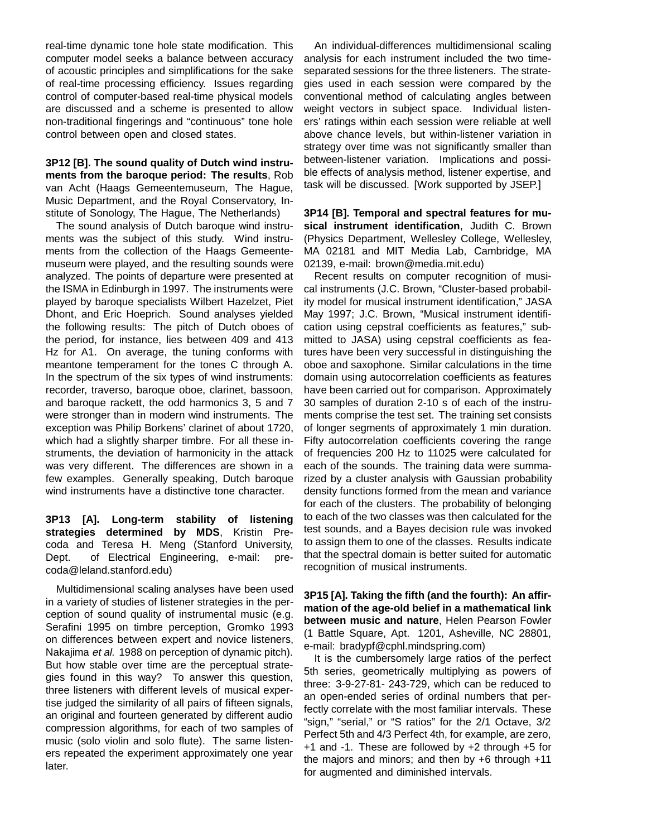real-time dynamic tone hole state modification. This computer model seeks a balance between accuracy of acoustic principles and simplifications for the sake of real-time processing efficiency. Issues regarding control of computer-based real-time physical models are discussed and a scheme is presented to allow non-traditional fingerings and "continuous" tone hole control between open and closed states.

**3P12 [B]. The sound quality of Dutch wind instruments from the baroque period: The results**, Rob van Acht (Haags Gemeentemuseum, The Hague, Music Department, and the Royal Conservatory, Institute of Sonology, The Hague, The Netherlands)

The sound analysis of Dutch baroque wind instruments was the subject of this study. Wind instruments from the collection of the Haags Gemeentemuseum were played, and the resulting sounds were analyzed. The points of departure were presented at the ISMA in Edinburgh in 1997. The instruments were played by baroque specialists Wilbert Hazelzet, Piet Dhont, and Eric Hoeprich. Sound analyses yielded the following results: The pitch of Dutch oboes of the period, for instance, lies between 409 and 413 Hz for A1. On average, the tuning conforms with meantone temperament for the tones C through A. In the spectrum of the six types of wind instruments: recorder, traverso, baroque oboe, clarinet, bassoon, and baroque rackett, the odd harmonics 3, 5 and 7 were stronger than in modern wind instruments. The exception was Philip Borkens' clarinet of about 1720, which had a slightly sharper timbre. For all these instruments, the deviation of harmonicity in the attack was very different. The differences are shown in a few examples. Generally speaking, Dutch baroque wind instruments have a distinctive tone character.

**3P13 [A]. Long-term stability of listening strategies determined by MDS**, Kristin Precoda and Teresa H. Meng (Stanford University, Dept. of Electrical Engineering, e-mail: precoda@leland.stanford.edu)

Multidimensional scaling analyses have been used in a variety of studies of listener strategies in the perception of sound quality of instrumental music (e.g. Serafini 1995 on timbre perception, Gromko 1993 on differences between expert and novice listeners, Nakajima et al. 1988 on perception of dynamic pitch). But how stable over time are the perceptual strategies found in this way? To answer this question, three listeners with different levels of musical expertise judged the similarity of all pairs of fifteen signals, an original and fourteen generated by different audio compression algorithms, for each of two samples of music (solo violin and solo flute). The same listeners repeated the experiment approximately one year later.

An individual-differences multidimensional scaling analysis for each instrument included the two timeseparated sessions for the three listeners. The strategies used in each session were compared by the conventional method of calculating angles between weight vectors in subject space. Individual listeners' ratings within each session were reliable at well above chance levels, but within-listener variation in strategy over time was not significantly smaller than between-listener variation. Implications and possible effects of analysis method, listener expertise, and task will be discussed. [Work supported by JSEP.]

**3P14 [B]. Temporal and spectral features for musical instrument identification**, Judith C. Brown (Physics Department, Wellesley College, Wellesley, MA 02181 and MIT Media Lab, Cambridge, MA 02139, e-mail: brown@media.mit.edu)

Recent results on computer recognition of musical instruments (J.C. Brown, "Cluster-based probability model for musical instrument identification," JASA May 1997; J.C. Brown, "Musical instrument identification using cepstral coefficients as features," submitted to JASA) using cepstral coefficients as features have been very successful in distinguishing the oboe and saxophone. Similar calculations in the time domain using autocorrelation coefficients as features have been carried out for comparison. Approximately 30 samples of duration 2-10 s of each of the instruments comprise the test set. The training set consists of longer segments of approximately 1 min duration. Fifty autocorrelation coefficients covering the range of frequencies 200 Hz to 11025 were calculated for each of the sounds. The training data were summarized by a cluster analysis with Gaussian probability density functions formed from the mean and variance for each of the clusters. The probability of belonging to each of the two classes was then calculated for the test sounds, and a Bayes decision rule was invoked to assign them to one of the classes. Results indicate that the spectral domain is better suited for automatic recognition of musical instruments.

**3P15 [A]. Taking the fifth (and the fourth): An affirmation of the age-old belief in a mathematical link between music and nature**, Helen Pearson Fowler (1 Battle Square, Apt. 1201, Asheville, NC 28801, e-mail: bradypf@cphl.mindspring.com)

It is the cumbersomely large ratios of the perfect 5th series, geometrically multiplying as powers of three: 3-9-27-81- 243-729, which can be reduced to an open-ended series of ordinal numbers that perfectly correlate with the most familiar intervals. These "sign," "serial," or "S ratios" for the 2/1 Octave, 3/2 Perfect 5th and 4/3 Perfect 4th, for example, are zero, +1 and -1. These are followed by +2 through +5 for the majors and minors; and then by +6 through +11 for augmented and diminished intervals.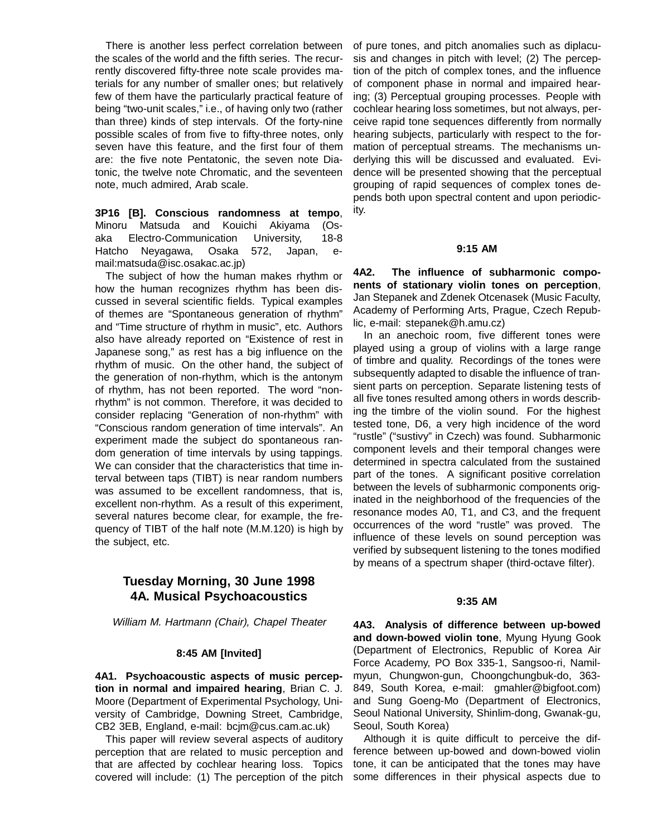There is another less perfect correlation between the scales of the world and the fifth series. The recurrently discovered fifty-three note scale provides materials for any number of smaller ones; but relatively few of them have the particularly practical feature of being "two-unit scales," i.e., of having only two (rather than three) kinds of step intervals. Of the forty-nine possible scales of from five to fifty-three notes, only seven have this feature, and the first four of them are: the five note Pentatonic, the seven note Diatonic, the twelve note Chromatic, and the seventeen note, much admired, Arab scale.

**3P16 [B]. Conscious randomness at tempo**, Minoru Matsuda and Kouichi Akiyama (Osaka Electro-Communication University, 18-8 Hatcho Neyagawa, Osaka 572, Japan, email:matsuda@isc.osakac.ac.jp)

The subject of how the human makes rhythm or how the human recognizes rhythm has been discussed in several scientific fields. Typical examples of themes are "Spontaneous generation of rhythm" and "Time structure of rhythm in music", etc. Authors also have already reported on "Existence of rest in Japanese song," as rest has a big influence on the rhythm of music. On the other hand, the subject of the generation of non-rhythm, which is the antonym of rhythm, has not been reported. The word "nonrhythm" is not common. Therefore, it was decided to consider replacing "Generation of non-rhythm" with "Conscious random generation of time intervals". An experiment made the subject do spontaneous random generation of time intervals by using tappings. We can consider that the characteristics that time interval between taps (TIBT) is near random numbers was assumed to be excellent randomness, that is, excellent non-rhythm. As a result of this experiment, several natures become clear, for example, the frequency of TIBT of the half note (M.M.120) is high by the subject, etc.

# **Tuesday Morning, 30 June 1998 4A. Musical Psychoacoustics**

William M. Hartmann (Chair), Chapel Theater

#### **8:45 AM [Invited]**

**4A1. Psychoacoustic aspects of music perception in normal and impaired hearing**, Brian C. J. Moore (Department of Experimental Psychology, University of Cambridge, Downing Street, Cambridge, CB2 3EB, England, e-mail: bcjm@cus.cam.ac.uk)

This paper will review several aspects of auditory perception that are related to music perception and that are affected by cochlear hearing loss. Topics covered will include: (1) The perception of the pitch

of pure tones, and pitch anomalies such as diplacusis and changes in pitch with level; (2) The perception of the pitch of complex tones, and the influence of component phase in normal and impaired hearing; (3) Perceptual grouping processes. People with cochlear hearing loss sometimes, but not always, perceive rapid tone sequences differently from normally hearing subjects, particularly with respect to the formation of perceptual streams. The mechanisms underlying this will be discussed and evaluated. Evidence will be presented showing that the perceptual grouping of rapid sequences of complex tones depends both upon spectral content and upon periodicity.

#### **9:15 AM**

**4A2. The influence of subharmonic components of stationary violin tones on perception**, Jan Stepanek and Zdenek Otcenasek (Music Faculty, Academy of Performing Arts, Prague, Czech Republic, e-mail: stepanek@h.amu.cz)

In an anechoic room, five different tones were played using a group of violins with a large range of timbre and quality. Recordings of the tones were subsequently adapted to disable the influence of transient parts on perception. Separate listening tests of all five tones resulted among others in words describing the timbre of the violin sound. For the highest tested tone, D6, a very high incidence of the word "rustle" ("sustivy" in Czech) was found. Subharmonic component levels and their temporal changes were determined in spectra calculated from the sustained part of the tones. A significant positive correlation between the levels of subharmonic components originated in the neighborhood of the frequencies of the resonance modes A0, T1, and C3, and the frequent occurrences of the word "rustle" was proved. The influence of these levels on sound perception was verified by subsequent listening to the tones modified by means of a spectrum shaper (third-octave filter).

#### **9:35 AM**

**4A3. Analysis of difference between up-bowed and down-bowed violin tone**, Myung Hyung Gook (Department of Electronics, Republic of Korea Air Force Academy, PO Box 335-1, Sangsoo-ri, Namilmyun, Chungwon-gun, Choongchungbuk-do, 363- 849, South Korea, e-mail: gmahler@bigfoot.com) and Sung Goeng-Mo (Department of Electronics, Seoul National University, Shinlim-dong, Gwanak-gu, Seoul, South Korea)

Although it is quite difficult to perceive the difference between up-bowed and down-bowed violin tone, it can be anticipated that the tones may have some differences in their physical aspects due to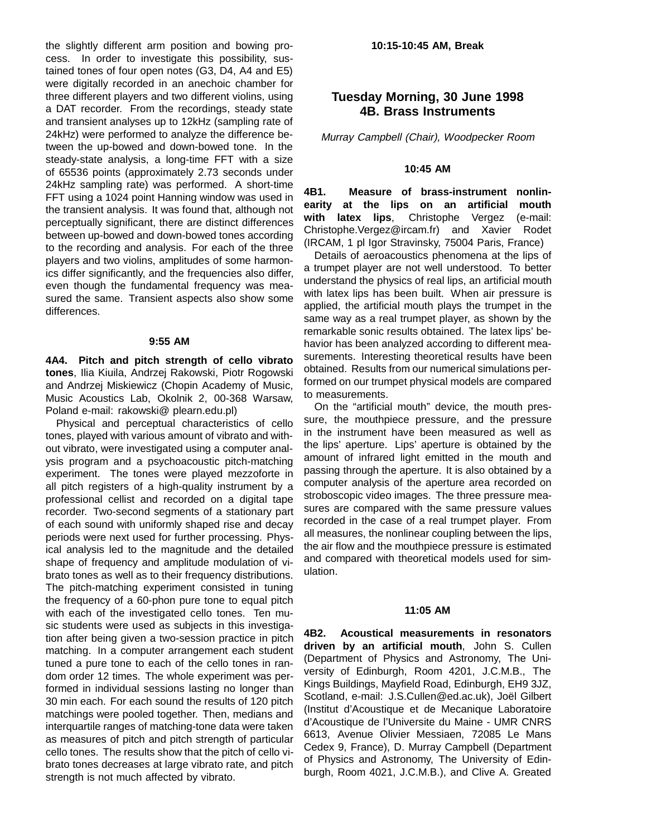the slightly different arm position and bowing process. In order to investigate this possibility, sustained tones of four open notes (G3, D4, A4 and E5) were digitally recorded in an anechoic chamber for three different players and two different violins, using a DAT recorder. From the recordings, steady state and transient analyses up to 12kHz (sampling rate of 24kHz) were performed to analyze the difference between the up-bowed and down-bowed tone. In the steady-state analysis, a long-time FFT with a size of 65536 points (approximately 2.73 seconds under 24kHz sampling rate) was performed. A short-time FFT using a 1024 point Hanning window was used in the transient analysis. It was found that, although not perceptually significant, there are distinct differences between up-bowed and down-bowed tones according to the recording and analysis. For each of the three players and two violins, amplitudes of some harmonics differ significantly, and the frequencies also differ, even though the fundamental frequency was measured the same. Transient aspects also show some differences.

#### **9:55 AM**

**4A4. Pitch and pitch strength of cello vibrato tones**, Ilia Kiuila, Andrzej Rakowski, Piotr Rogowski and Andrzej Miskiewicz (Chopin Academy of Music, Music Acoustics Lab, Okolnik 2, 00-368 Warsaw, Poland e-mail: rakowski@ plearn.edu.pl)

Physical and perceptual characteristics of cello tones, played with various amount of vibrato and without vibrato, were investigated using a computer analysis program and a psychoacoustic pitch-matching experiment. The tones were played mezzoforte in all pitch registers of a high-quality instrument by a professional cellist and recorded on a digital tape recorder. Two-second segments of a stationary part of each sound with uniformly shaped rise and decay periods were next used for further processing. Physical analysis led to the magnitude and the detailed shape of frequency and amplitude modulation of vibrato tones as well as to their frequency distributions. The pitch-matching experiment consisted in tuning the frequency of a 60-phon pure tone to equal pitch with each of the investigated cello tones. Ten music students were used as subjects in this investigation after being given a two-session practice in pitch matching. In a computer arrangement each student tuned a pure tone to each of the cello tones in random order 12 times. The whole experiment was performed in individual sessions lasting no longer than 30 min each. For each sound the results of 120 pitch matchings were pooled together. Then, medians and interquartile ranges of matching-tone data were taken as measures of pitch and pitch strength of particular cello tones. The results show that the pitch of cello vibrato tones decreases at large vibrato rate, and pitch strength is not much affected by vibrato.

# **Tuesday Morning, 30 June 1998 4B. Brass Instruments**

Murray Campbell (Chair), Woodpecker Room

### **10:45 AM**

**4B1. Measure of brass-instrument nonlinearity at the lips on an artificial mouth with latex lips**, Christophe Vergez (e-mail: Christophe.Vergez@ircam.fr) and Xavier Rodet (IRCAM, 1 pl Igor Stravinsky, 75004 Paris, France)

Details of aeroacoustics phenomena at the lips of a trumpet player are not well understood. To better understand the physics of real lips, an artificial mouth with latex lips has been built. When air pressure is applied, the artificial mouth plays the trumpet in the same way as a real trumpet player, as shown by the remarkable sonic results obtained. The latex lips' behavior has been analyzed according to different measurements. Interesting theoretical results have been obtained. Results from our numerical simulations performed on our trumpet physical models are compared to measurements.

On the "artificial mouth" device, the mouth pressure, the mouthpiece pressure, and the pressure in the instrument have been measured as well as the lips' aperture. Lips' aperture is obtained by the amount of infrared light emitted in the mouth and passing through the aperture. It is also obtained by a computer analysis of the aperture area recorded on stroboscopic video images. The three pressure measures are compared with the same pressure values recorded in the case of a real trumpet player. From all measures, the nonlinear coupling between the lips, the air flow and the mouthpiece pressure is estimated and compared with theoretical models used for simulation.

### **11:05 AM**

**4B2. Acoustical measurements in resonators driven by an artificial mouth**, John S. Cullen (Department of Physics and Astronomy, The University of Edinburgh, Room 4201, J.C.M.B., The Kings Buildings, Mayfield Road, Edinburgh, EH9 3JZ, Scotland, e-mail: J.S.Cullen@ed.ac.uk), Joël Gilbert (Institut d'Acoustique et de Mecanique Laboratoire d'Acoustique de l'Universite du Maine - UMR CNRS 6613, Avenue Olivier Messiaen, 72085 Le Mans Cedex 9, France), D. Murray Campbell (Department of Physics and Astronomy, The University of Edinburgh, Room 4021, J.C.M.B.), and Clive A. Greated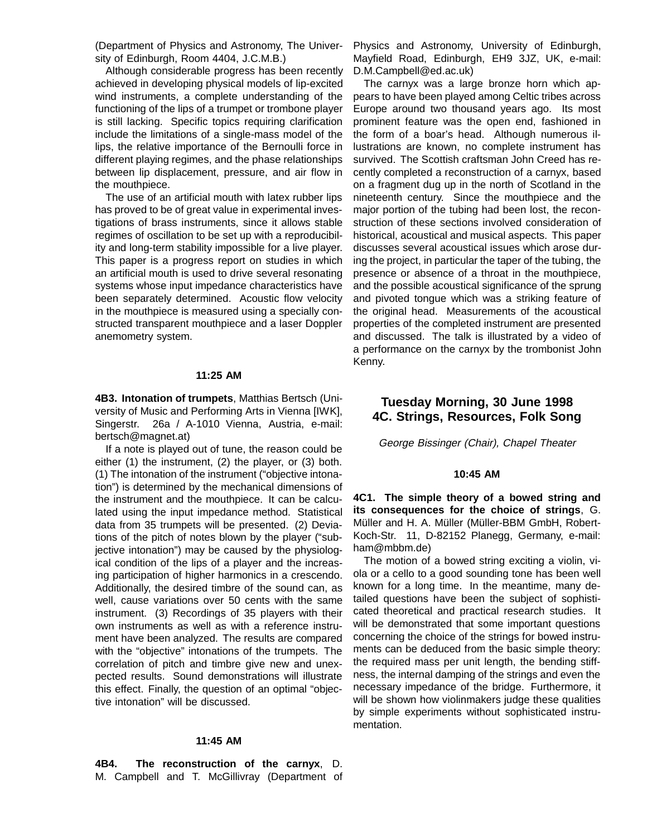(Department of Physics and Astronomy, The University of Edinburgh, Room 4404, J.C.M.B.)

Although considerable progress has been recently achieved in developing physical models of lip-excited wind instruments, a complete understanding of the functioning of the lips of a trumpet or trombone player is still lacking. Specific topics requiring clarification include the limitations of a single-mass model of the lips, the relative importance of the Bernoulli force in different playing regimes, and the phase relationships between lip displacement, pressure, and air flow in the mouthpiece.

The use of an artificial mouth with latex rubber lips has proved to be of great value in experimental investigations of brass instruments, since it allows stable regimes of oscillation to be set up with a reproducibility and long-term stability impossible for a live player. This paper is a progress report on studies in which an artificial mouth is used to drive several resonating systems whose input impedance characteristics have been separately determined. Acoustic flow velocity in the mouthpiece is measured using a specially constructed transparent mouthpiece and a laser Doppler anemometry system.

#### **11:25 AM**

**4B3. Intonation of trumpets**, Matthias Bertsch (University of Music and Performing Arts in Vienna [IWK], Singerstr. 26a / A-1010 Vienna, Austria, e-mail: bertsch@magnet.at)

If a note is played out of tune, the reason could be either (1) the instrument, (2) the player, or (3) both. (1) The intonation of the instrument ("objective intonation") is determined by the mechanical dimensions of the instrument and the mouthpiece. It can be calculated using the input impedance method. Statistical data from 35 trumpets will be presented. (2) Deviations of the pitch of notes blown by the player ("subjective intonation") may be caused by the physiological condition of the lips of a player and the increasing participation of higher harmonics in a crescendo. Additionally, the desired timbre of the sound can, as well, cause variations over 50 cents with the same instrument. (3) Recordings of 35 players with their own instruments as well as with a reference instrument have been analyzed. The results are compared with the "objective" intonations of the trumpets. The correlation of pitch and timbre give new and unexpected results. Sound demonstrations will illustrate this effect. Finally, the question of an optimal "objective intonation" will be discussed.

#### **11:45 AM**

**4B4. The reconstruction of the carnyx**, D. M. Campbell and T. McGillivray (Department of Physics and Astronomy, University of Edinburgh, Mayfield Road, Edinburgh, EH9 3JZ, UK, e-mail: D.M.Campbell@ed.ac.uk)

The carnyx was a large bronze horn which appears to have been played among Celtic tribes across Europe around two thousand years ago. Its most prominent feature was the open end, fashioned in the form of a boar's head. Although numerous illustrations are known, no complete instrument has survived. The Scottish craftsman John Creed has recently completed a reconstruction of a carnyx, based on a fragment dug up in the north of Scotland in the nineteenth century. Since the mouthpiece and the major portion of the tubing had been lost, the reconstruction of these sections involved consideration of historical, acoustical and musical aspects. This paper discusses several acoustical issues which arose during the project, in particular the taper of the tubing, the presence or absence of a throat in the mouthpiece, and the possible acoustical significance of the sprung and pivoted tongue which was a striking feature of the original head. Measurements of the acoustical properties of the completed instrument are presented and discussed. The talk is illustrated by a video of a performance on the carnyx by the trombonist John Kenny.

### **Tuesday Morning, 30 June 1998 4C. Strings, Resources, Folk Song**

George Bissinger (Chair), Chapel Theater

#### **10:45 AM**

**4C1. The simple theory of a bowed string and its consequences for the choice of strings**, G. Müller and H. A. Müller (Müller-BBM GmbH, Robert-Koch-Str. 11, D-82152 Planegg, Germany, e-mail: ham@mbbm.de)

The motion of a bowed string exciting a violin, viola or a cello to a good sounding tone has been well known for a long time. In the meantime, many detailed questions have been the subject of sophisticated theoretical and practical research studies. It will be demonstrated that some important questions concerning the choice of the strings for bowed instruments can be deduced from the basic simple theory: the required mass per unit length, the bending stiffness, the internal damping of the strings and even the necessary impedance of the bridge. Furthermore, it will be shown how violinmakers judge these qualities by simple experiments without sophisticated instrumentation.